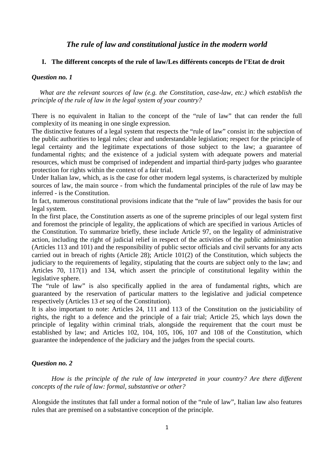# *The rule of law and constitutional justice in the modern world*

## **I. The different concepts of the rule of law/Les différents concepts de l'Etat de droit**

## *Question no. 1*

*What are the relevant sources of law (e.g. the Constitution, case-law, etc.) which establish the principle of the rule of law in the legal system of your country?*

There is no equivalent in Italian to the concept of the "rule of law" that can render the full complexity of its meaning in one single expression.

The distinctive features of a legal system that respects the "rule of law" consist in: the subjection of the public authorities to legal rules; clear and understandable legislation; respect for the principle of legal certainty and the legitimate expectations of those subject to the law; a guarantee of fundamental rights; and the existence of a judicial system with adequate powers and material resources, which must be comprised of independent and impartial third-party judges who guarantee protection for rights within the context of a fair trial.

Under Italian law, which, as is the case for other modern legal systems, is characterized by multiple sources of law, the main source - from which the fundamental principles of the rule of law may be inferred - is the Constitution.

In fact, numerous constitutional provisions indicate that the "rule of law" provides the basis for our legal system.

In the first place, the Constitution asserts as one of the supreme principles of our legal system first and foremost the principle of legality, the applications of which are specified in various Articles of the Constitution. To summarize briefly, these include Article 97, on the legality of administrative action, including the right of judicial relief in respect of the activities of the public administration (Articles 113 and 101) and the responsibility of public sector officials and civil servants for any acts carried out in breach of rights (Article 28); Article 101(2) of the Constitution, which subjects the judiciary to the requirements of legality, stipulating that the courts are subject only to the law; and Articles 70, 117(1) and 134, which assert the principle of constitutional legality within the legislative sphere.

The "rule of law" is also specifically applied in the area of fundamental rights, which are guaranteed by the reservation of particular matters to the legislative and judicial competence respectively (Articles 13 *et seq* of the Constitution).

It is also important to note: Articles 24, 111 and 113 of the Constitution on the justiciability of rights, the right to a defence and the principle of a fair trial; Article 25, which lays down the principle of legality within criminal trials, alongside the requirement that the court must be established by law; and Articles 102, 104, 105, 106, 107 and 108 of the Constitution, which guarantee the independence of the judiciary and the judges from the special courts.

### *Question no. 2*

*How is the principle of the rule of law interpreted in your country? Are there different concepts of the rule of law: formal, substantive or other?*

Alongside the institutes that fall under a formal notion of the "rule of law", Italian law also features rules that are premised on a substantive conception of the principle.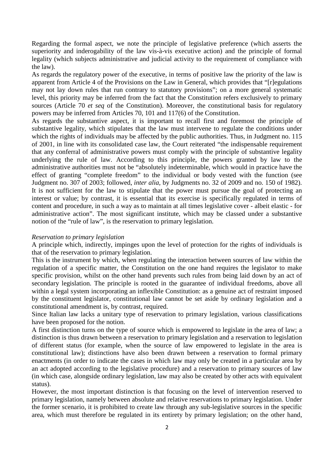Regarding the formal aspect, we note the principle of legislative preference (which asserts the superiority and inderogability of the law vis-à-vis executive action) and the principle of formal legality (which subjects administrative and judicial activity to the requirement of compliance with the law).

As regards the regulatory power of the executive, in terms of positive law the priority of the law is apparent from Article 4 of the Provisions on the Law in General, which provides that "[r]egulations may not lay down rules that run contrary to statutory provisions"; on a more general systematic level, this priority may be inferred from the fact that the Constitution refers exclusively to primary sources (Article 70 *et seq* of the Constitution). Moreover, the constitutional basis for regulatory powers may be inferred from Articles 70, 101 and 117(6) of the Constitution.

As regards the substantive aspect, it is important to recall first and foremost the principle of substantive legality, which stipulates that the law must intervene to regulate the conditions under which the rights of individuals may be affected by the public authorities. Thus, in Judgment no. 115 of 2001, in line with its consolidated case law, the Court reiterated "the indispensable requirement that any conferral of administrative powers must comply with the principle of substantive legality underlying the rule of law. According to this principle, the powers granted by law to the administrative authorities must not be "absolutely indeterminable, which would in practice have the effect of granting "complete freedom" to the individual or body vested with the function (see [Judgment no. 307 of 2003;](javascript:pronuncia() followed, *inter alia*, by [Judgments no. 32 of 2009](javascript:pronuncia() and [no. 150 of 1982\)](javascript:pronuncia(). It is not sufficient for the law to stipulate that the power must pursue the goal of protecting an interest or value; by contrast, it is essential that its exercise is specifically regulated in terms of content and procedure, in such a way as to maintain at all times legislative cover - albeit elastic - for administrative action". The most significant institute, which may be classed under a substantive notion of the "rule of law", is the reservation to primary legislation.

## *Reservation to primary legislation*

A principle which, indirectly, impinges upon the level of protection for the rights of individuals is that of the reservation to primary legislation.

This is the instrument by which, when regulating the interaction between sources of law within the regulation of a specific matter, the Constitution on the one hand requires the legislator to make specific provision, whilst on the other hand prevents such rules from being laid down by an act of secondary legislation. The principle is rooted in the guarantee of individual freedoms, above all within a legal system incorporating an inflexible Constitution: as a genuine act of restraint imposed by the constituent legislator, constitutional law cannot be set aside by ordinary legislation and a constitutional amendment is, by contrast, required.

Since Italian law lacks a unitary type of reservation to primary legislation, various classifications have been proposed for the notion.

A first distinction turns on the type of source which is empowered to legislate in the area of law; a distinction is thus drawn between a reservation to primary legislation and a reservation to legislation of different status (for example, when the source of law empowered to legislate in the area is constitutional law); distinctions have also been drawn between a reservation to formal primary enactments (in order to indicate the cases in which law may only be created in a particular area by an act adopted according to the legislative procedure) and a reservation to primary sources of law (in which case, alongside ordinary legislation, law may also be created by other acts with equivalent status).

However, the most important distinction is that focusing on the level of intervention reserved to primary legislation, namely between absolute and relative reservations to primary legislation. Under the former scenario, it is prohibited to create law through any sub-legislative sources in the specific area, which must therefore be regulated in its entirety by primary legislation; on the other hand,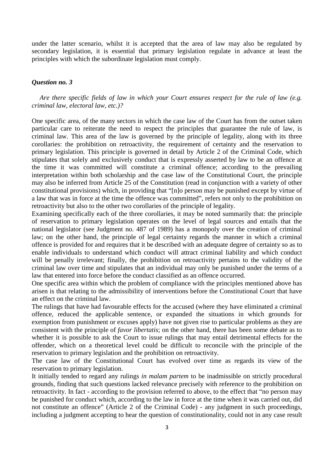under the latter scenario, whilst it is accepted that the area of law may also be regulated by secondary legislation, it is essential that primary legislation regulate in advance at least the principles with which the subordinate legislation must comply.

## *Question no. 3*

*Are there specific fields of law in which your Court ensures respect for the rule of law (e.g. criminal law, electoral law, etc.)?*

One specific area, of the many sectors in which the case law of the Court has from the outset taken particular care to reiterate the need to respect the principles that guarantee the rule of law, is criminal law. This area of the law is governed by the principle of legality, along with its three corollaries: the prohibition on retroactivity, the requirement of certainty and the reservation to primary legislation. This principle is governed in detail by Article 2 of the Criminal Code, which stipulates that solely and exclusively conduct that is expressly asserted by law to be an offence at the time it was committed will constitute a criminal offence; according to the prevailing interpretation within both scholarship and the case law of the Constitutional Court, the principle may also be inferred from Article 25 of the Constitution (read in conjunction with a variety of other constitutional provisions) which, in providing that "[n]o person may be punished except by virtue of a law that was in force at the time the offence was committed", refers not only to the prohibition on retroactivity but also to the other two corollaries of the principle of legality.

Examining specifically each of the three corollaries, it may be noted summarily that: the principle of reservation to primary legislation operates on the level of legal sources and entails that the national legislator (see Judgment no. 487 of 1989) has a monopoly over the creation of criminal law; on the other hand, the principle of legal certainty regards the manner in which a criminal offence is provided for and requires that it be described with an adequate degree of certainty so as to enable individuals to understand which conduct will attract criminal liability and which conduct will be penally irrelevant; finally, the prohibition on retroactivity pertains to the validity of the criminal law over time and stipulates that an individual may only be punished under the terms of a law that entered into force before the conduct classified as an offence occurred.

One specific area within which the problem of compliance with the principles mentioned above has arisen is that relating to the admissibility of interventions before the Constitutional Court that have an effect on the criminal law.

The rulings that have had favourable effects for the accused (where they have eliminated a criminal offence, reduced the applicable sentence, or expanded the situations in which grounds for exemption from punishment or excuses apply) have not given rise to particular problems as they are consistent with the principle of *favor libertatis*; on the other hand, there has been some debate as to whether it is possible to ask the Court to issue rulings that may entail detrimental effects for the offender, which on a theoretical level could be difficult to reconcile with the principle of the reservation to primary legislation and the prohibition on retroactivity.

The case law of the Constitutional Court has evolved over time as regards its view of the reservation to primary legislation.

It initially tended to regard any rulings *in malam partem* to be inadmissible on strictly procedural grounds, finding that such questions lacked relevance precisely with reference to the prohibition on retroactivity. In fact - according to the provision referred to above, to the effect that "no person may be punished for conduct which, according to the law in force at the time when it was carried out, did not constitute an [offence"](http://www.brocardi.it/dizionario/4329.html) (Article 2 of the Criminal Code) - any judgment in such proceedings, including a judgment accepting to hear the question of constitutionality, could not in any case result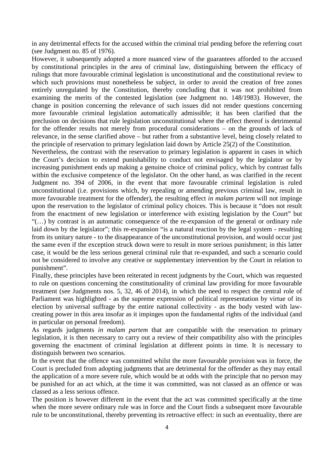in any detrimental effects for the accused within the criminal trial pending before the referring court (see [Judgment no. 85 of 1976\)](javascript:pronuncia().

However, it subsequently adopted a more nuanced view of the guarantees afforded to the accused by constitutional principles in the area of criminal law, distinguishing between the efficacy of rulings that more favourable criminal legislation is unconstitutional and the constitutional review to which such provisions must nonetheless be subject, in order to avoid the creation of free zones entirely unregulated by the Constitution, thereby concluding that it was not prohibited from examining the merits of the contested legislation (see Judgment no. 148/1983). However, the change in position concerning the relevance of such issues did not render questions concerning more favourable criminal legislation automatically admissible; it has been clarified that the preclusion on decisions that rule legislation unconstitutional where the effect thereof is detrimental for the offender results not merely from procedural considerations – on the grounds of lack of relevance, in the sense clarified above – but rather from a substantive level, being closely related to the principle of reservation to primary legislation laid down by Article 25(2) of the Constitution.

Nevertheless, the contrast with the reservation to primary legislation is apparent in cases in which the Court's decision to extend punishability to conduct not envisaged by the legislator or by increasing punishment ends up making a genuine choice of criminal policy, which by contrast falls within the exclusive competence of the legislator. On the other hand, as was clarified in the recent Judgment no. 394 of 2006, in the event that more favourable criminal legislation is ruled unconstitutional (i.e. provisions which, by repealing or amending previous criminal law, result in more favourable treatment for the offender), the resulting effect *in malam partem* will not impinge upon the reservation to the legislator of criminal policy choices. This is because it "does not result from the enactment of new legislation or interference with existing legislation by the Court" but "(…) by contrast is an automatic consequence of the re-expansion of the general or ordinary rule laid down by the legislator"; this re-expansion "is a natural reaction by the legal system - resulting from its unitary nature - to the disappearance of the unconstitutional provision, and would occur just the same even if the exception struck down were to result in more serious punishment; in this latter case, it would be the less serious general criminal rule that re-expanded, and such a scenario could not be considered to involve any creative or supplementary intervention by the Court in relation to punishment".

Finally, these principles have been reiterated in recent judgments by the Court, which was requested to rule on questions concerning the constitutionality of criminal law providing for more favourable treatment (see Judgments nos. 5, 32, 46 of 2014), in which the need to respect the central role of Parliament was highlighted - as the supreme expression of political representation by virtue of its election by universal suffrage by the entire national collectivity - as the body vested with lawcreating power in this area insofar as it impinges upon the fundamental rights of the individual (and in particular on personal freedom).

As regards judgments *in malam partem* that are compatible with the reservation to primary legislation, it is then necessary to carry out a review of their compatibility also with the principles governing the enactment of criminal legislation at different points in time. It is necessary to distinguish between two scenarios.

In the event that the offence was committed whilst the more favourable provision was in force, the Court is precluded from adopting judgments that are detrimental for the offender as they may entail the application of a more severe rule, which would be at odds with the principle that no person may be punished for an act which, at the time it was committed, was not classed as an offence or was classed as a less serious offence.

The position is however different in the event that the act was committed specifically at the time when the more severe ordinary rule was in force and the Court finds a subsequent more favourable rule to be unconstitutional, thereby preventing its retroactive effect: in such an eventuality, there are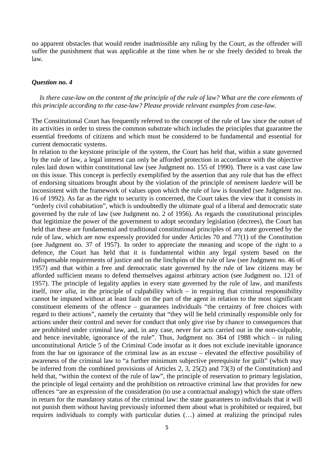no apparent obstacles that would render inadmissible any ruling by the Court, as the offender will suffer the punishment that was applicable at the time when he or she freely decided to break the law.

# *Question no. 4*

*Is there case-law on the content of the principle of the rule of law? What are the core elements of this principle according to the case-law? Please provide relevant examples from case-law.*

The Constitutional Court has frequently referred to the concept of the rule of law since the outset of its activities in order to stress the common substrate which includes the principles that guarantee the essential freedoms of citizens and which must be considered to be fundamental and essential for current democratic systems.

In relation to the keystone principle of the system, the Court has held that, within a state governed by the rule of law, a legal interest can only be afforded protection in accordance with the objective rules laid down within constitutional law (see Judgment no. 155 of 1990). There is a vast case law on this issue. This concept is perfectly exemplified by the assertion that any rule that has the effect of endorsing situations brought about by the violation of the principle of *neminem laedere* will be inconsistent with the framework of values upon which the rule of law is founded (see Judgment no. 16 of 1992). As far as the right to security is concerned, the Court takes the view that it consists in "orderly civil cohabitation", which is undoubtedly the ultimate goal of a liberal and democratic state governed by the rule of law (see Judgment no. 2 of 1956). As regards the constitutional principles that legitimize the power of the government to adopt secondary legislation (decrees), the Court has held that these are fundamental and traditional constitutional principles of any state governed by the rule of law, which are now expressly provided for under Articles 70 and 77(1) of the Constitution (see Judgment no. 37 of 1957). In order to appreciate the meaning and scope of the right to a defence, the Court has held that it is fundamental within any legal system based on the indispensable requirements of justice and on the linchpins of the rule of law (see Judgment no. 46 of 1957) and that within a free and democratic state governed by the rule of law citizens may be afforded sufficient means to defend themselves against arbitrary action (see Judgment no. 121 of 1957). The principle of legality applies in every state governed by the rule of law, and manifests itself, *inter alia*, in the principle of culpability which – in requiring that criminal responsibility cannot be imputed without at least fault on the part of the agent in relation to the most significant constituent elements of the offence – guarantees individuals "the certainty of free choices with regard to their actions", namely the certainty that "they will be held criminally responsible only for actions under their control and never for conduct that only give rise by chance to consequences that are prohibited under criminal law, and, in any case, never for acts carried out in the non-culpable, and hence inevitable, ignorance of the rule". Thus, Judgment no. 364 of 1988 which – in ruling unconstitutional Article 5 of the Criminal Code insofar as it does not exclude inevitable ignorance from the bar on ignorance of the criminal law as an excuse – elevated the effective possibility of awareness of the criminal law to "a further minimum subjective prerequisite for guilt" (which may be inferred from the combined provisions of Articles 2, 3, 25(2) and 73(3) of the Constitution) and held that, "within the context of the rule of law", the principle of reservation to primary legislation, the principle of legal certainty and the prohibition on retroactive criminal law that provides for new offences "are an expression of the consideration (to use a contractual analogy) which the state offers in return for the mandatory status of the criminal law: the state guarantees to individuals that it will not punish them without having previously informed them about what is prohibited or required, but requires individuals to comply with particular duties (…) aimed at realizing the principal rules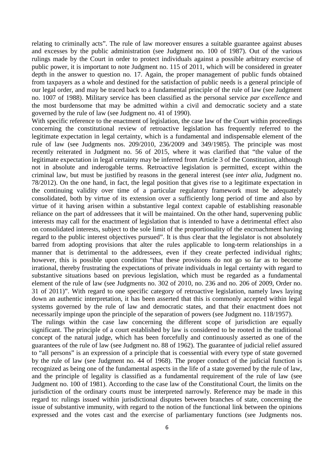relating to criminally acts". The rule of law moreover ensures a suitable guarantee against abuses and excesses by the public administration (see Judgment no. 100 of 1987). Out of the various rulings made by the Court in order to protect individuals against a possible arbitrary exercise of public power, it is important to note Judgment no. 115 of 2011, which will be considered in greater depth in the answer to question no. 17. Again, the proper management of public funds obtained from taxpayers as a whole and destined for the satisfaction of public needs is a general principle of our legal order, and may be traced back to a fundamental principle of the rule of law (see Judgment no. 1007 of 1988). Military service has been classified as the personal service *par excellence* and the most burdensome that may be admitted within a civil and democratic society and a state governed by the rule of law (see Judgment no. 41 of 1990).

With specific reference to the enactment of legislation, the case law of the Court within proceedings concerning the constitutional review of retroactive legislation has frequently referred to the legitimate expectation in legal certainty, which is a fundamental and indispensable element of the rule of law (see Judgments nos. 209/2010, 236/2009 and 349/1985). The principle was most recently reiterated in Judgment no. 56 of 2015, where it was clarified that "the value of the legitimate expectation in legal certainty may be inferred from Article 3 of the Constitution, although not in absolute and inderogable terms. Retroactive legislation is permitted, except within the criminal law, but must be justified by reasons in the general interest (see *inter alia*, Judgment no. 78/2012). On the one hand, in fact, the legal position that gives rise to a legitimate expectation in the continuing validity over time of a particular regulatory framework must be adequately consolidated, both by virtue of its extension over a sufficiently long period of time and also by virtue of it having arisen within a substantive legal context capable of establishing reasonable reliance on the part of addressees that it will be maintained. On the other hand, supervening public interests may call for the enactment of legislation that is intended to have a detrimental effect also on consolidated interests, subject to the sole limit of the proportionality of the encroachment having regard to the public interest objectives pursued". It is thus clear that the legislator is not absolutely barred from adopting provisions that alter the rules applicable to long-term relationships in a manner that is detrimental to the addressees, even if they create perfected individual rights; however, this is possible upon condition "that these provisions do not go so far as to become irrational, thereby frustrating the expectations of private individuals in legal certainty with regard to substantive situations based on previous legislation, which must be regarded as a fundamental element of the rule of law (see Judgments no. 302 of 2010, no. 236 and no. 206 of 2009, Order no. 31 of 2011)". With regard to one specific category of retroactive legislation, namely laws laying down an authentic interpretation, it has been asserted that this is commonly accepted within legal systems governed by the rule of law and democratic states, and that their enactment does not necessarily impinge upon the principle of the separation of powers (see Judgment no. 118/1957).

The rulings within the case law concerning the different scope of jurisdiction are equally significant. The principle of a court established by law is considered to be rooted in the traditional concept of the natural judge, which has been forcefully and continuously asserted as one of the guarantees of the rule of law (see Judgment no. 88 of 1962). The guarantee of judicial relief assured to "all persons" is an expression of a principle that is coessential with every type of state governed by the rule of law (see Judgment no. 44 of 1968). The proper conduct of the judicial function is recognized as being one of the fundamental aspects in the life of a state governed by the rule of law, and the principle of legality is classified as a fundamental requirement of the rule of law (see Judgment no. 100 of 1981). According to the case law of the Constitutional Court, the limits on the jurisdiction of the ordinary courts must be interpreted narrowly. Reference may be made in this regard to: rulings issued within jurisdictional disputes between branches of state, concerning the issue of substantive immunity, with regard to the notion of the functional link between the opinions expressed and the votes cast and the exercise of parliamentary functions (see Judgments nos.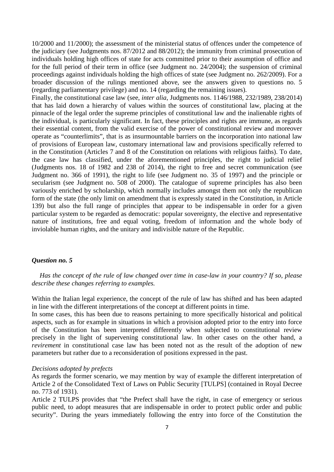10/2000 and 11/2000); the assessment of the ministerial status of offences under the competence of the judiciary (see Judgments nos. 87/2012 and 88/2012); the immunity from criminal prosecution of individuals holding high offices of state for acts committed prior to their assumption of office and for the full period of their term in office (see Judgment no. 24/2004); the suspension of criminal proceedings against individuals holding the high offices of state (see Judgment no. 262/2009). For a broader discussion of the rulings mentioned above, see the answers given to questions no. 5 (regarding parliamentary privilege) and no. 14 (regarding the remaining issues).

Finally, the constitutional case law (see, *inter alia*, Judgments nos. 1146/1988, 232/1989, 238/2014) that has laid down a hierarchy of values within the sources of constitutional law, placing at the pinnacle of the legal order the supreme principles of constitutional law and the inalienable rights of the individual, is particularly significant. In fact, these principles and rights are immune, as regards their essential content, from the valid exercise of the power of constitutional review and moreover operate as "counterlimits", that is as insurmountable barriers on the incorporation into national law of provisions of European law, customary international law and provisions specifically referred to in the Constitution (Articles 7 and 8 of the Constitution on relations with religious faiths). To date, the case law has classified, under the aforementioned principles, the right to judicial relief (Judgments nos. 18 of 1982 and 238 of 2014), the right to free and secret communication (see Judgment no. 366 of 1991), the right to life (see Judgment no. 35 of 1997) and the principle or secularism (see Judgment no. 508 of 2000). The catalogue of supreme principles has also been variously enriched by scholarship, which normally includes amongst them not only the republican form of the state (the only limit on amendment that is expressly stated in the Constitution, in Article 139) but also the full range of principles that appear to be indispensable in order for a given particular system to be regarded as democratic: popular sovereignty, the elective and representative nature of institutions, free and equal voting, freedom of information and the whole body of inviolable human rights, and the unitary and indivisible nature of the Republic.

# *Question no. 5*

*Has the concept of the rule of law changed over time in case-law in your country? If so, please describe these changes referring to examples.*

Within the Italian legal experience, the concept of the rule of law has shifted and has been adapted in line with the different interpretations of the concept at different points in time.

In some cases, this has been due to reasons pertaining to more specifically historical and political aspects, such as for example in situations in which a provision adopted prior to the entry into force of the Constitution has been interpreted differently when subjected to constitutional review precisely in the light of supervening constitutional law. In other cases on the other hand, a *revirement* in constitutional case law has been noted not as the result of the adoption of new parameters but rather due to a reconsideration of positions expressed in the past.

### *Decisions adopted by prefects*

As regards the former scenario, we may mention by way of example the different interpretation of Article 2 of the Consolidated Text of Laws on Public Security [TULPS] (contained in Royal Decree no. 773 of 1931).

Article 2 TULPS provides that "the Prefect shall have the right, in case of emergency or serious public need, to adopt measures that are indispensable in order to protect public order and public security". During the years immediately following the entry into force of the Constitution the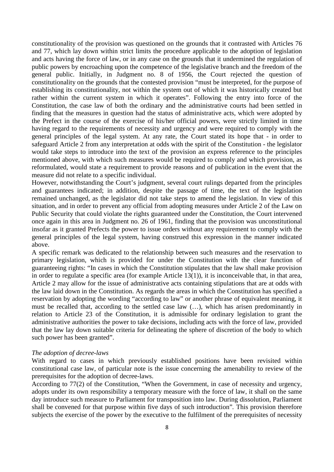constitutionality of the provision was questioned on the grounds that it contrasted with Articles 76 and 77, which lay down within strict limits the procedure applicable to the adoption of legislation and acts having the force of law, or in any case on the grounds that it undermined the regulation of public powers by encroaching upon the competence of the legislative branch and the freedom of the general public. Initially, in Judgment no. 8 of 1956, the Court rejected the question of constitutionality on the grounds that the contested provision "must be interpreted, for the purpose of establishing its constitutionality, not within the system out of which it was historically created but rather within the current system in which it operates". Following the entry into force of the Constitution, the case law of both the ordinary and the administrative courts had been settled in finding that the measures in question had the status of administrative acts, which were adopted by the Prefect in the course of the exercise of his/her official powers, were strictly limited in time having regard to the requirements of necessity and urgency and were required to comply with the general principles of the legal system. At any rate, the Court stated its hope that - in order to safeguard Article 2 from any interpretation at odds with the spirit of the Constitution - the legislator would take steps to introduce into the text of the provision an express reference to the principles mentioned above, with which such measures would be required to comply and which provision, as reformulated, would state a requirement to provide reasons and of publication in the event that the measure did not relate to a specific individual.

However, notwithstanding the Court's judgment, several court rulings departed from the principles and guarantees indicated; in addition, despite the passage of time, the text of the legislation remained unchanged, as the legislator did not take steps to amend the legislation. In view of this situation, and in order to prevent any official from adopting measures under Article 2 of the Law on Public Security that could violate the rights guaranteed under the Constitution, the Court intervened once again in this area in Judgment no. 26 of 1961, finding that the provision was unconstitutional insofar as it granted Prefects the power to issue orders without any requirement to comply with the general principles of the legal system, having construed this expression in the manner indicated above.

A specific remark was dedicated to the relationship between such measures and the reservation to primary legislation, which is provided for under the Constitution with the clear function of guaranteeing rights: "In cases in which the Constitution stipulates that the law shall make provision in order to regulate a specific area (for example Article 13(1)), it is inconceivable that, in that area, Article 2 may allow for the issue of administrative acts containing stipulations that are at odds with the law laid down in the Constitution. As regards the areas in which the Constitution has specified a reservation by adopting the wording "according to law" or another phrase of equivalent meaning, it must be recalled that, according to the settled case law (…), which has arisen predominantly in relation to Article 23 of the Constitution, it is admissible for ordinary legislation to grant the administrative authorities the power to take decisions, including acts with the force of law, provided that the law lay down suitable criteria for delineating the sphere of discretion of the body to which such power has been granted".

### *The adoption of decree-laws*

With regard to cases in which previously established positions have been revisited within constitutional case law, of particular note is the issue concerning the amenability to review of the prerequisites for the adoption of decree-laws.

According to 77(2) of the Constitution, "When the Government, in case of necessity and urgency, adopts under its own responsibility a temporary measure with the force of law, it shall on the same day introduce such measure to Parliament for transposition into law. During dissolution, Parliament shall be convened for that purpose within five days of such introduction"*.* This provision therefore subjects the exercise of the power by the executive to the fulfilment of the prerequisites of necessity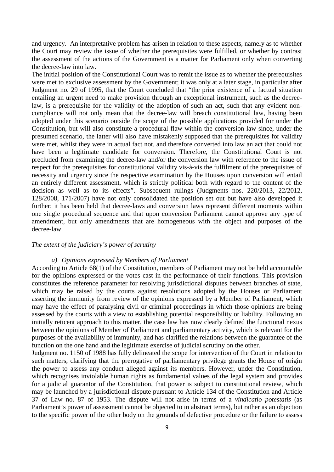and urgency. An interpretative problem has arisen in relation to these aspects, namely as to whether the Court may review the issue of whether the prerequisites were fulfilled, or whether by contrast the assessment of the actions of the Government is a matter for Parliament only when converting the decree-law into law.

The initial position of the Constitutional Court was to remit the issue as to whether the prerequisites were met to exclusive assessment by the Government; it was only at a later stage, in particular after Judgment no. 29 of 1995, that the Court concluded that "the prior existence of a factual situation entailing an urgent need to make provision through an exceptional instrument, such as the decreelaw, is a prerequisite for the validity of the adoption of such an act, such that any evident noncompliance will not only mean that the decree-law will breach constitutional law, having been adopted under this scenario outside the scope of the possible applications provided for under the Constitution, but will also constitute a procedural flaw within the conversion law since, under the presumed scenario, the latter will also have mistakenly supposed that the prerequisites for validity were met, whilst they were in actual fact not, and therefore converted into law an act that could not have been a legitimate candidate for conversion. Therefore, the Constitutional Court is not precluded from examining the decree-law and/or the conversion law with reference to the issue of respect for the prerequisites for constitutional validity vis-à-vis the fulfilment of the prerequisites of necessity and urgency since the respective examination by the Houses upon conversion will entail an entirely different assessment, which is strictly political both with regard to the content of the decision as well as to its effects". Subsequent rulings (Judgments nos. 220/2013, 22/2012, 128/2008, 171/2007) have not only consolidated the position set out but have also developed it further: it has been held that decree-laws and conversion laws represent different moments within one single procedural sequence and that upon conversion Parliament cannot approve any type of amendment, but only amendments that are homogeneous with the object and purposes of the decree-law.

## *The extent of the judiciary's power of scrutiny*

### *a) Opinions expressed by Members of Parliament*

According to Article 68(1) of the Constitution, members of Parliament may not be held accountable for the opinions expressed or the votes cast in the performance of their functions. This provision constitutes the reference parameter for resolving jurisdictional disputes between branches of state, which may be raised by the courts against resolutions adopted by the Houses or Parliament asserting the immunity from review of the opinions expressed by a Member of Parliament, which may have the effect of paralysing civil or criminal proceedings in which those opinions are being assessed by the courts with a view to establishing potential responsibility or liability. Following an initially reticent approach to this matter, the case law has now clearly defined the functional nexus between the opinions of Member of Parliament and parliamentary activity, which is relevant for the purposes of the availability of immunity, and has clarified the relations between the guarantee of the function on the one hand and the legitimate exercise of judicial scrutiny on the other.

Judgment no. 1150 of 1988 has fully delineated the scope for intervention of the Court in relation to such matters, clarifying that the prerogative of parliamentary privilege grants the House of origin the power to assess any conduct alleged against its members. However, under the Constitution, which recognises inviolable human rights as fundamental values of the legal system and provides for a judicial guarantor of the Constitution, that power is subject to constitutional review, which may be launched by a jurisdictional dispute pursuant to Article 134 of the Constitution and Article 37 of Law no. 87 of 1953. The dispute will not arise in terms of a *vindicatio potestatis* (as Parliament's power of assessment cannot be objected to in abstract terms), but rather as an objection to the specific power of the other body on the grounds of defective procedure or the failure to assess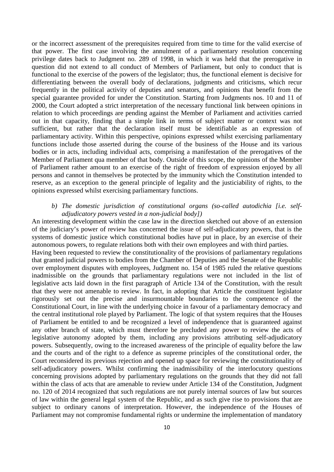or the incorrect assessment of the prerequisites required from time to time for the valid exercise of that power. The first case involving the annulment of a parliamentary resolution concerning privilege dates back to Judgment no. 289 of 1998, in which it was held that the prerogative in question did not extend to all conduct of Members of Parliament, but only to conduct that is functional to the exercise of the powers of the legislator; thus, the functional element is decisive for differentiating between the overall body of declarations, judgments and criticisms, which recur frequently in the political activity of deputies and senators, and opinions that benefit from the special guarantee provided for under the Constitution. Starting from Judgments nos. 10 and 11 of 2000, the Court adopted a strict interpretation of the necessary functional link between opinions in relation to which proceedings are pending against the Member of Parliament and activities carried out in that capacity, finding that a simple link in terms of subject matter or context was not sufficient, but rather that the declaration itself must be identifiable as an expression of parliamentary activity. Within this perspective, opinions expressed whilst exercising parliamentary functions include those asserted during the course of the business of the House and its various bodies or in acts, including individual acts, comprising a manifestation of the prerogatives of the Member of Parliament qua member of that body. Outside of this scope, the opinions of the Member of Parliament rather amount to an exercise of the right of freedom of expression enjoyed by all persons and cannot in themselves be protected by the immunity which the Constitution intended to reserve, as an exception to the general principle of legality and the justiciability of rights, to the opinions expressed whilst exercising parliamentary functions.

# b) The domestic jurisdiction of constitutional organs (so-called autodichia [i.e. self*adjudicatory powers vested in a non-judicial body])*

An interesting development within the case law in the direction sketched out above of an extension of the judiciary's power of review has concerned the issue of self-adjudicatory powers, that is the systems of domestic justice which constitutional bodies have put in place, by an exercise of their autonomous powers, to regulate relations both with their own employees and with third parties.

Having been requested to review the constitutionality of the provisions of parliamentary regulations that granted judicial powers to bodies from the Chamber of Deputies and the Senate of the Republic over employment disputes with employees, Judgment no. 154 of 1985 ruled the relative questions inadmissible on the grounds that parliamentary regulations were not included in the list of legislative acts laid down in the first paragraph of Article 134 of the Constitution, with the result that they were not amenable to review. In fact, in adopting that Article the constituent legislator rigorously set out the precise and insurmountable boundaries to the competence of the Constitutional Court, in line with the underlying choice in favour of a parliamentary democracy and the central institutional role played by Parliament. The logic of that system requires that the Houses of Parliament be entitled to and be recognized a level of independence that is guaranteed against any other branch of state, which must therefore be precluded any power to review the acts of legislative autonomy adopted by them, including any provisions attributing self-adjudicatory powers. Subsequently, owing to the increased awareness of the principle of equality before the law and the courts and of the right to a defence as supreme principles of the constitutional order, the Court reconsidered its previous rejection and opened up space for reviewing the constitutionality of self-adjudicatory powers. Whilst confirming the inadmissibility of the interlocutory questions concerning provisions adopted by parliamentary regulations on the grounds that they did not fall within the class of acts that are amenable to review under Article 134 of the Constitution, Judgment no. 120 of 2014 recognized that such regulations are not purely internal sources of law but sources of law within the general legal system of the Republic, and as such give rise to provisions that are subject to ordinary canons of interpretation. However, the independence of the Houses of Parliament may not compromise fundamental rights or undermine the implementation of mandatory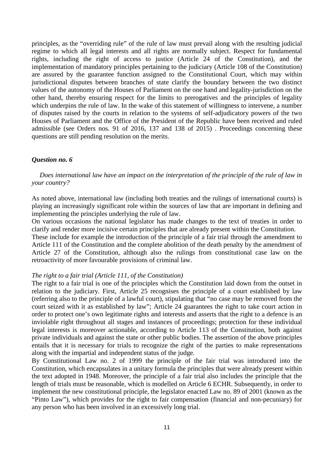principles, as the "overriding rule" of the rule of law must prevail along with the resulting judicial regime to which all legal interests and all rights are normally subject. Respect for fundamental rights, including the right of access to justice (Article 24 of the Constitution), and the implementation of mandatory principles pertaining to the judiciary (Article 108 of the Constitution) are assured by the guarantee function assigned to the Constitutional Court, which may within jurisdictional disputes between branches of state clarify the boundary between the two distinct values of the autonomy of the Houses of Parliament on the one hand and legality-jurisdiction on the other hand, thereby ensuring respect for the limits to prerogatives and the principles of legality which underpins the rule of law. In the wake of this statement of willingness to intervene, a number of disputes raised by the courts in relation to the systems of self-adjudicatory powers of the two Houses of Parliament and the Office of the President of the Republic have been received and ruled admissible (see Orders nos. 91 of 2016, 137 and 138 of 2015) . Proceedings concerning these questions are still pending resolution on the merits.

# *Question no. 6*

*Does international law have an impact on the interpretation of the principle of the rule of law in your country?*

As noted above, international law (including both treaties and the rulings of international courts) is playing an increasingly significant role within the sources of law that are important in defining and implementing the principles underlying the rule of law.

On various occasions the national legislator has made changes to the text of treaties in order to clarify and render more incisive certain principles that are already present within the Constitution.

These include for example the introduction of the principle of a fair trial through the amendment to Article 111 of the Constitution and the complete abolition of the death penalty by the amendment of Article 27 of the Constitution, although also the rulings from constitutional case law on the retroactivity of more favourable provisions of criminal law.

### *The right to a fair trial (Article 111, of the Constitution)*

The right to a fair trial is one of the principles which the Constitution laid down from the outset in relation to the judiciary. First, Article 25 recognises the principle of a court established by law (referring also to the principle of a lawful court), stipulating that "no case may be removed from the court seized with it as established by law"; Article 24 guarantees the right to take court action in order to protect one's own legitimate rights and interests and asserts that the right to a defence is an inviolable right throughout all stages and instances of proceedings; protection for these individual legal interests is moreover actionable, according to Article 113 of the Constitution, both against private individuals and against the state or other public bodies. The assertion of the above principles entails that it is necessary for trials to recognize the right of the parties to make representations along with the impartial and independent status of the judge.

By Constitutional Law no. 2 of 1999 the principle of the fair trial was introduced into the Constitution, which encapsulates in a unitary formula the principles that were already present within the text adopted in 1948. Moreover, the principle of a fair trial also includes the principle that the length of trials must be reasonable, which is modelled on Article 6 ECHR. Subsequently, in order to implement the new constitutional principle, the legislator enacted Law no. 89 of 2001 (known as the "Pinto Law"), which provides for the right to fair compensation (financial and non-pecuniary) for any person who has been involved in an excessively long trial.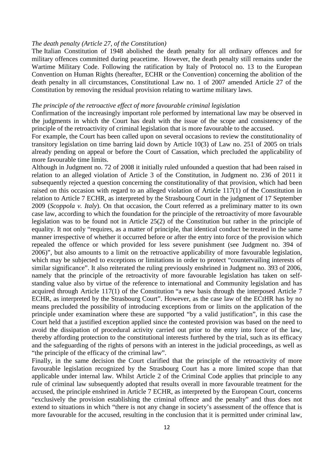## *The death penalty (Article 27, of the Constitution)*

The [Italian Constitution](https://it.wikipedia.org/wiki/Costituzione_italiana) of [1948](https://it.wikipedia.org/wiki/1948) abolished the death penalty for all ordinary offences and for military offences committed during [peacetime.](https://it.wikipedia.org/wiki/Pace) However, the death penalty still remains under the Wartime Military Code. Following the ratification by Italy of Protocol no. 13 to the [European](https://it.wikipedia.org/wiki/Convenzione_europea_per_la_salvaguardia_dei_diritti_dell)  [Convention on Human Rights \(hereafter, ECHR or the Convention\) c](https://it.wikipedia.org/wiki/Convenzione_europea_per_la_salvaguardia_dei_diritti_dell)oncerning the abolition of the death penalty in all circumstances, Constitutional Law no. 1 of 2007 amended Article 27 of the [Constitution](https://it.wikipedia.org/wiki/Costituzione_della_Repubblica_Italiana) by removing the residual provision relating to wartime military laws.

### *The principle of the retroactive effect of more favourable criminal legislation*

Confirmation of the increasingly important role performed by international law may be observed in the judgments in which the Court has dealt with the issue of the scope and consistency of the principle of the retroactivity of criminal legislation that is more favourable to the accused.

For example, the Court has been called upon on several occasions to review the constitutionality of transitory legislation on time barring laid down by Article 10(3) of Law no. 251 of 2005 on trials already pending on appeal or before the Court of Cassation, which precluded the applicability of more favourable time limits.

Although in Judgment no. 72 of 2008 it initially ruled unfounded a question that had been raised in relation to an alleged violation of Article 3 of the Constitution, in Judgment no. 236 of 2011 it subsequently rejected a question concerning the constitutionality of that provision, which had been raised on this occasion with regard to an alleged violation of Article 117(1) of the Constitution in relation to Article 7 ECHR, as interpreted by the Strasbourg Court in the judgment of 17 September 2009 (*Scoppola v. Italy*). On that occasion, the Court referred as a preliminary matter to its own case law, according to which the foundation for the principle of the retroactivity of more favourable legislation was to be found not in Article 25(2) of the Constitution but rather in the principle of equality. It not only "requires, as a matter of principle, that identical conduct be treated in the same manner irrespective of whether it occurred before or after the entry into force of the provision which repealed the offence or which provided for less severe punishment (see Judgment no. 394 of 2006)", but also amounts to a limit on the retroactive applicability of more favourable legislation, which may be subjected to exceptions or limitations in order to protect "countervailing interests of similar significance". It also reiterated the ruling previously enshrined in Judgment no. 393 of 2006, namely that the principle of the retroactivity of more favourable legislation has taken on selfstanding value also by virtue of the reference to international and Community legislation and has acquired through Article 117(1) of the Constitution "a new basis through the interposed Article 7 ECHR, as interpreted by the Strasbourg Court". However, as the case law of the ECtHR has by no means precluded the possibility of introducing exceptions from or limits on the application of the principle under examination where these are supported "by a valid justification", in this case the Court held that a justified exception applied since the contested provision was based on the need to avoid the dissipation of procedural activity carried out prior to the entry into force of the law, thereby affording protection to the constitutional interests furthered by the trial, such as its efficacy and the safeguarding of the rights of persons with an interest in the judicial proceedings, as well as "the principle of the efficacy of the criminal law".

Finally, in the same decision the Court clarified that the principle of the retroactivity of more favourable legislation recognized by the Strasbourg Court has a more limited scope than that applicable under internal law. Whilst Article 2 of the Criminal Code applies that principle to any rule of criminal law subsequently adopted that results overall in more favourable treatment for the accused, the principle enshrined in Article 7 ECHR, as interpreted by the European Court, concerns "exclusively the provision establishing the criminal offence and the penalty" and thus does not extend to situations in which "there is not any change in society's assessment of the offence that is more favourable for the accused, resulting in the conclusion that it is permitted under criminal law,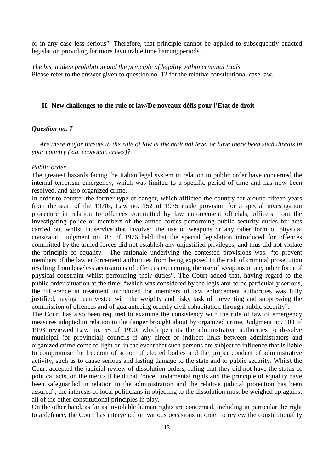or in any case less serious". Therefore, that principle cannot be applied to subsequently enacted legislation providing for more favourable time barring periods.

*The bis in idem prohibition and the principle of legality within criminal trials* Please refer to the answer given to question no. 12 for the relative constitutional case law.

### **II. New challenges to the rule of law/De noveaux défis pour l'Etat de droit**

## *Question no. 7*

*Are there major threats to the rule of law at the national level or have there been such threats in your country (e.g. economic crises)?*

## *Public order*

The greatest hazards facing the Italian legal system in relation to public order have concerned the internal terrorism emergency, which was limited to a specific period of time and has now been resolved, and also organized crime.

In order to counter the former type of danger, which afflicted the country for around fifteen years from the start of the 1970s, Law no. 152 of 1975 made provision for a special investigation procedure in relation to offences committed by law enforcement officials, officers from the investigating police or members of the armed forces performing public security duties for acts carried out whilst in service that involved the use of weapons or any other form of physical constraint. Judgment no. 87 of 1976 held that the special legislation introduced for offences committed by the armed forces did not establish any unjustified privileges, and thus did not violate the principle of equality. The rationale underlying the contested provisions was: "to prevent members of the law enforcement authorities from being exposed to the risk of criminal prosecution resulting from baseless accusations of offences concerning the use of weapons or any other form of physical constraint whilst performing their duties". The Court added that, having regard to the public order situation at the time, "which was considered by the legislator to be particularly serious, the difference in treatment introduced for members of law enforcement authorities was fully justified, having been vested with the weighty and risky task of preventing and suppressing the commission of offences and of guaranteeing orderly civil cohabitation through public security".

The Court has also been required to examine the consistency with the rule of law of emergency measures adopted in relation to the danger brought about by organized crime. Judgment no. 103 of 1993 reviewed Law no. 55 of 1990, which permits the administrative authorities to dissolve municipal (or provincial) councils if any direct or indirect links between administrators and organized crime come to light or, in the event that such persons are subject to influence that is liable to compromise the freedom of action of elected bodies and the proper conduct of administrative activity, such as to cause serious and lasting damage to the state and to public security. Whilst the Court accepted the judicial review of dissolution orders, ruling that they did not have the status of political acts, on the merits it held that "once fundamental rights and the principle of equality have been safeguarded in relation to the administration and the relative judicial protection has been assured", the interests of local politicians in objecting to the dissolution must be weighed up against all of the other constitutional principles in play.

On the other hand, as far as inviolable human rights are concerned, including in particular the right to a defence, the Court has intervened on various occasions in order to review the constitutionality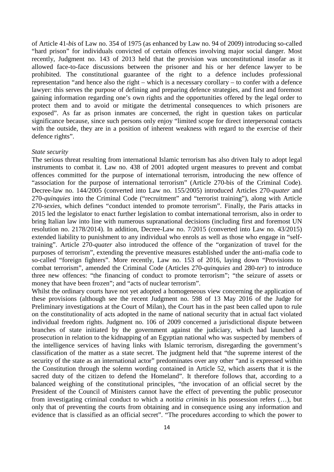of Article 41-*bis* of Law no. 354 of 1975 (as enhanced by Law no. 94 of 2009) introducing so-called "hard prison" for individuals convicted of certain offences involving major social danger. Most recently, Judgment no. 143 of 2013 held that the provision was unconstitutional insofar as it allowed face-to-face discussions between the prisoner and his or her defence lawyer to be prohibited. The constitutional guarantee of the right to a defence includes professional representation "and hence also the right – which is a necessary corollary – to confer with a defence lawyer: this serves the purpose of defining and preparing defence strategies, and first and foremost gaining information regarding one's own rights and the opportunities offered by the legal order to protect them and to avoid or mitigate the detrimental consequences to which prisoners are exposed". As far as prison inmates are concerned, the right in question takes on particular significance because, since such persons only enjoy "limited scope for direct interpersonal contacts with the outside, they are in a position of inherent weakness with regard to the exercise of their defence rights".

### *State security*

The serious threat resulting from international Islamic terrorism has also driven Italy to adopt legal instruments to combat it. Law no. 438 of 2001 adopted urgent measures to prevent and combat offences committed for the purpose of international terrorism, introducing the new offence of "association for the purpose of international terrorism" (Article 270-bis of the Criminal Code). Decree-law no. 144/2005 (converted into Law no. 155/2005) introduced Articles 270-*quater* and 270-*quinquies* into the Criminal Code ("recruitment" and "terrorist training"), along with Article 270-*sexies*, which defines "conduct intended to promote terrorism". Finally, the Paris attacks in 2015 led the legislator to enact further legislation to combat international terrorism, also in order to bring Italian law into line with numerous supranational decisions (including first and foremost UN resolution no. 2178/2014). In addition, Decree-Law no. 7/2015 (converted into Law no. 43/2015) extended liability to punishment to any individual who enrols as well as those who engage in "selftraining". Article 270-*quater* also introduced the offence of the "organization of travel for the purposes of terrorism", extending the preventive measures established under the anti-mafia code to so-called "foreign fighters". More recently, Law no. 153 of 2016, laying down "Provisions to combat terrorism", amended the Criminal Code (Articles 270-*quinquies* and 280-*ter*) to introduce three new offences: "the financing of conduct to promote terrorism"; "the seizure of assets or money that have been frozen"; and "acts of nuclear terrorism".

Whilst the ordinary courts have not yet adopted a homogeneous view concerning the application of these provisions (although see the recent Judgment no. 598 of 13 May 2016 of the Judge for Preliminary investigations at the Court of Milan), the Court has in the past been called upon to rule on the constitutionality of acts adopted in the name of national security that in actual fact violated individual freedom rights. Judgment no. 106 of 2009 concerned a jurisdictional dispute between branches of state initiated by the government against the judiciary, which had launched a prosecution in relation to the kidnapping of an Egyptian national who was suspected by members of the intelligence services of having links with Islamic terrorism, disregarding the government's classification of the matter as a state secret. The judgment held that "the supreme interest of the security of the state as an international actor" predominates over any other "and is expressed within the Constitution through the solemn wording contained in Article 52, which asserts that it is the sacred duty of the citizen to defend the Homeland". It therefore follows that, according to a balanced weighing of the constitutional principles, "the invocation of an official secret by the President of the Council of Ministers cannot have the effect of preventing the public prosecutor from investigating criminal conduct to which a *notitia criminis* in his possession refers (…), but only that of preventing the courts from obtaining and in consequence using any information and evidence that is classified as an official secret". "The procedures according to which the power to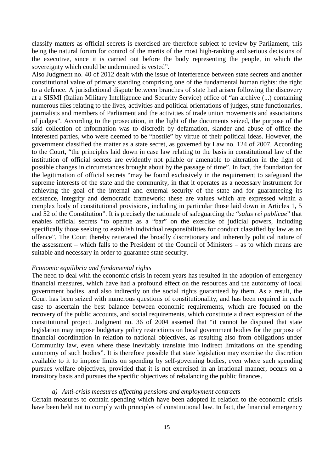classify matters as official secrets is exercised are therefore subject to review by Parliament, this being the natural forum for control of the merits of the most high-ranking and serious decisions of the executive, since it is carried out before the body representing the people, in which the sovereignty which could be undermined is vested".

Also Judgment no. 40 of 2012 dealt with the issue of interference between state secrets and another constitutional value of primary standing comprising one of the fundamental human rights: the right to a defence. A jurisdictional dispute between branches of state had arisen following the discovery at a SISMI (Italian Military Intelligence and Security Service) office of "an archive (...) containing numerous files relating to the lives, activities and political orientations of judges, state functionaries, journalists and members of Parliament and the activities of trade union movements and associations of judges". According to the prosecution, in the light of the documents seized, the purpose of the said collection of information was to discredit by defamation, slander and abuse of office the interested parties, who were deemed to be "hostile" by virtue of their political ideas. However, the government classified the matter as a state secret, as governed by Law no. 124 of 2007. According to the Court, "the principles laid down in case law relating to the basis in constitutional law of the institution of official secrets are evidently not pliable or amenable to alteration in the light of possible changes in circumstances brought about by the passage of time". In fact, the foundation for the legitimation of official secrets "may be found exclusively in the requirement to safeguard the supreme interests of the state and the community, in that it operates as a necessary instrument for achieving the goal of the internal and external security of the state and for guaranteeing its existence, integrity and democratic framework: these are values which are expressed within a complex body of constitutional provisions, including in particular those laid down in Articles 1, 5 and 52 of the Constitution". It is precisely the rationale of safeguarding the "*salus rei publicae*" that enables official secrets "to operate as a "bar" on the exercise of judicial powers, including specifically those seeking to establish individual responsibilities for conduct classified by law as an offence". The Court thereby reiterated the broadly discretionary and inherently political nature of the assessment – which falls to the President of the Council of Ministers – as to which means are suitable and necessary in order to guarantee state security.

# *Economic equilibria and fundamental rights*

The need to deal with the economic crisis in recent years has resulted in the adoption of emergency financial measures, which have had a profound effect on the resources and the autonomy of local government bodies, and also indirectly on the social rights guaranteed by them. As a result, the Court has been seized with numerous questions of constitutionality, and has been required in each case to ascertain the best balance between economic requirements, which are focused on the recovery of the public accounts, and social requirements, which constitute a direct expression of the constitutional project. Judgment no. 36 of 2004 asserted that "it cannot be disputed that state legislation may impose budgetary policy restrictions on local government bodies for the purpose of financial coordination in relation to national objectives, as resulting also from obligations under Community law, even where these inevitably translate into indirect limitations on the spending autonomy of such bodies". It is therefore possible that state legislation may exercise the discretion available to it to impose limits on spending by self-governing bodies, even where such spending pursues welfare objectives, provided that it is not exercised in an irrational manner, occurs on a transitory basis and pursues the specific objectives of rebalancing the public finances.

### *a) Anti-crisis measures affecting pensions and employment contracts*

Certain measures to contain spending which have been adopted in relation to the economic crisis have been held not to comply with principles of constitutional law. In fact, the financial emergency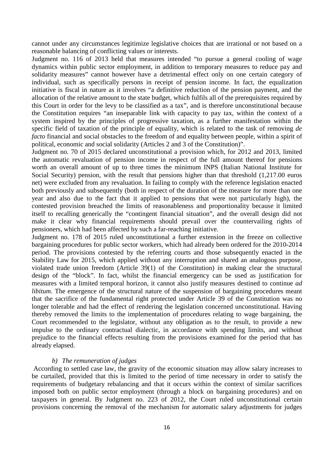cannot under any circumstances legitimize legislative choices that are irrational or not based on a reasonable balancing of conflicting values or interests.

Judgment no. 116 of 2013 held that measures intended "to pursue a general cooling of wage dynamics within public sector employment, in addition to temporary measures to reduce pay and solidarity measures" cannot however have a detrimental effect only on one certain category of individual, such as specifically persons in receipt of pension income. In fact, the equalization initiative is fiscal in nature as it involves "a definitive reduction of the pension payment, and the allocation of the relative amount to the state budget, which fulfils all of the prerequisites required by this Court in order for the levy to be classified as a tax", and is therefore unconstitutional because the Constitution requires "an inseparable link with capacity to pay tax, within the context of a system inspired by the principles of progressive taxation, as a further manifestation within the specific field of taxation of the principle of equality, which is related to the task of removing *de facto* financial and social obstacles to the freedom of and equality between people, within a spirit of political, economic and social solidarity (Articles 2 and 3 of the Constitution)".

Judgment no. 70 of 2015 declared unconstitutional a provision which, for 2012 and 2013, limited the automatic revaluation of pension income in respect of the full amount thereof for pensions worth an overall amount of up to three times the minimum INPS (Italian National Institute for Social Security) pension, with the result that pensions higher than that threshold (1,217.00 euros net) were excluded from any revaluation. In failing to comply with the reference legislation enacted both previously and subsequently (both in respect of the duration of the measure for more than one year and also due to the fact that it applied to pensions that were not particularly high), the contested provision breached the limits of reasonableness and proportionality because it limited itself to recalling generically the "contingent financial situation", and the overall design did not make it clear why financial requirements should prevail over the countervailing rights of pensioners, which had been affected by such a far-reaching initiative.

Judgment no. 178 of 2015 ruled unconstitutional a further extension in the freeze on collective bargaining procedures for public sector workers, which had already been ordered for the 2010-2014 period. The provisions contested by the referring courts and those subsequently enacted in the Stability Law for 2015, which applied without any interruption and shared an analogous purpose, violated trade union freedom (Article 39(1) of the Constitution) in making clear the structural design of the "block". In fact, whilst the financial emergency can be used as justification for measures with a limited temporal horizon, it cannot also justify measures destined to continue *ad libitum*. The emergence of the structural nature of the suspension of bargaining procedures meant that the sacrifice of the fundamental right protected under Article 39 of the Constitution was no longer tolerable and had the effect of rendering the legislation concerned unconstitutional. Having thereby removed the limits to the implementation of procedures relating to wage bargaining, the Court recommended to the legislator, without any obligation as to the result, to provide a new impulse to the ordinary contractual dialectic, in accordance with spending limits, and without prejudice to the financial effects resulting from the provisions examined for the period that has already elapsed.

# *b) The remuneration of judges*

According to settled case law, the gravity of the economic situation may allow salary increases to be curtailed, provided that this is limited to the period of time necessary in order to satisfy the requirements of budgetary rebalancing and that it occurs within the context of similar sacrifices imposed both on public sector employment (through a block on bargaining procedures) and on taxpayers in general. By Judgment no. 223 of 2012, the Court ruled unconstitutional certain provisions concerning the removal of the mechanism for automatic salary adjustments for judges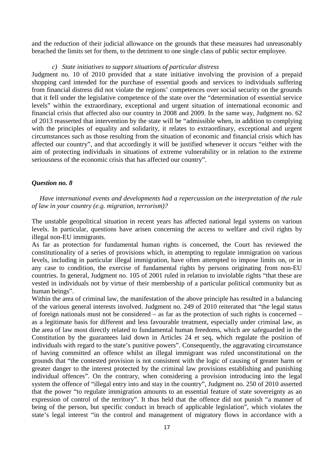and the reduction of their judicial allowance on the grounds that these measures had unreasonably breached the limits set for them, to the detriment to one single class of public sector employee.

## *c) State initiatives to support situations of particular distress*

Judgment no. 10 of 2010 provided that a state initiative involving the provision of a prepaid shopping card intended for the purchase of essential goods and services to individuals suffering from financial distress did not violate the regions' competences over social security on the grounds that it fell under the legislative competence of the state over the "determination of essential service levels" within the extraordinary, exceptional and urgent situation of international economic and financial crisis that affected also our country in 2008 and 2009. In the same way, Judgment no. 62 of 2013 reasserted that intervention by the state will be "admissible when, in addition to complying with the principles of equality and solidarity, it relates to extraordinary, exceptional and urgent circumstances such as those resulting from the situation of economic and financial crisis which has affected our country", and that accordingly it will be justified whenever it occurs "either with the aim of protecting individuals in situations of extreme vulnerability or in relation to the extreme seriousness of the economic crisis that has affected our country".

## *Question no. 8*

*Have international events and developments had a repercussion on the interpretation of the rule of law in your country (e.g. migration, terrorism)?*

The unstable geopolitical situation in recent years has affected national legal systems on various levels. In particular, questions have arisen concerning the access to welfare and civil rights by illegal non-EU immigrants.

As far as protection for fundamental human rights is concerned, the Court has reviewed the constitutionality of a series of provisions which, in attempting to regulate immigration on various levels, including in particular illegal immigration, have often attempted to impose limits on, or in any case to condition, the exercise of fundamental rights by persons originating from non-EU countries. In general, Judgment no. 105 of 2001 ruled in relation to inviolable rights "that these are vested in individuals not by virtue of their membership of a particular political community but as human beings".

Within the area of criminal law, the manifestation of the above principle has resulted in a balancing of the various general interests involved. Judgment no. 249 of 2010 reiterated that "the legal status of foreign nationals must not be considered – as far as the protection of such rights is concerned – as a legitimate basis for different and less favourable treatment, especially under criminal law, as the area of law most directly related to fundamental human freedoms, which are safeguarded in the Constitution by the guarantees laid down in Articles 24 et seq, which regulate the position of individuals with regard to the state's punitive powers". Consequently, the aggravating circumstance of having committed an offence whilst an illegal immigrant was ruled unconstitutional on the grounds that "the contested provision is not consistent with the logic of causing of greater harm or greater danger to the interest protected by the criminal law provisions establishing and punishing individual offences". On the contrary, when considering a provision introducing into the legal system the offence of "illegal entry into and stay in the country", Judgment no. 250 of 2010 asserted that the power "to regulate immigration amounts to an essential feature of state sovereignty as an expression of control of the territory". It thus held that the offence did not punish "a manner of being of the person, but specific conduct in breach of applicable legislation", which violates the state's legal interest "in the control and management of migratory flows in accordance with a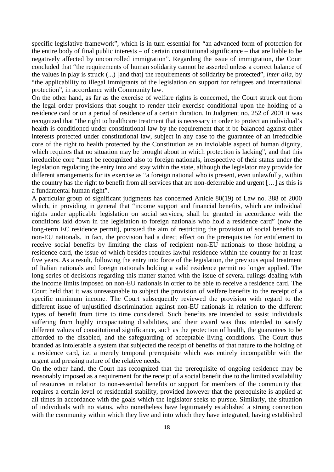specific legislative framework", which is in turn essential for "an advanced form of protection for the entire body of final public interests – of certain constitutional significance – that are liable to be negatively affected by uncontrolled immigration". Regarding the issue of immigration, the Court concluded that "the requirements of human solidarity cannot be asserted unless a correct balance of the values in play is struck (...) [and that] the requirements of solidarity be protected", *inter alia*, by "the applicability to illegal immigrants of the legislation on support for refugees and international protection", in accordance with Community law.

On the other hand, as far as the exercise of welfare rights is concerned, the Court struck out from the legal order provisions that sought to render their exercise conditional upon the holding of a residence card or on a period of residence of a certain duration. In Judgment no. 252 of 2001 it was recognized that "the right to healthcare treatment that is necessary in order to protect an individual's health is conditioned under constitutional law by the requirement that it be balanced against other interests protected under constitutional law, subject in any case to the guarantee of an irreducible core of the right to health protected by the Constitution as an inviolable aspect of human dignity, which requires that no situation may be brought about in which protection is lacking", and that this irreducible core "must be recognized also to foreign nationals, irrespective of their status under the legislation regulating the entry into and stay within the state, although the legislator may provide for different arrangements for its exercise as "a foreign national who is present, even unlawfully, within the country has the right to benefit from all services that are non-deferrable and urgent […] as this is a fundamental human right".

A particular group of significant judgments has concerned Article 80(19) of Law no. 388 of 2000 which, in providing in general that "income support and financial benefits, which are individual rights under applicable legislation on social services, shall be granted in accordance with the conditions laid down in the legislation to foreign nationals who hold a residence card" (now the long-term EC residence permit), pursued the aim of restricting the provision of social benefits to non-EU nationals. In fact, the provision had a direct effect on the prerequisites for entitlement to receive social benefits by limiting the class of recipient non-EU nationals to those holding a residence card, the issue of which besides requires lawful residence within the country for at least five years. As a result, following the entry into force of the legislation, the previous equal treatment of Italian nationals and foreign nationals holding a valid residence permit no longer applied. The long series of decisions regarding this matter started with the issue of several rulings dealing with the income limits imposed on non-EU nationals in order to be able to receive a residence card. The Court held that it was unreasonable to subject the provision of welfare benefits to the receipt of a specific minimum income. The Court subsequently reviewed the provision with regard to the different issue of unjustified discrimination against non-EU nationals in relation to the different types of benefit from time to time considered. Such benefits are intended to assist individuals suffering from highly incapacitating disabilities, and their award was thus intended to satisfy different values of constitutional significance, such as the protection of health, the guarantees to be afforded to the disabled, and the safeguarding of acceptable living conditions. The Court thus branded as intolerable a system that subjected the receipt of benefits of that nature to the holding of a residence card, i.e. a merely temporal prerequisite which was entirely incompatible with the urgent and pressing nature of the relative needs.

On the other hand, the Court has recognized that the prerequisite of ongoing residence may be reasonably imposed as a requirement for the receipt of a social benefit due to the limited availability of resources in relation to non-essential benefits or support for members of the community that requires a certain level of residential stability, provided however that the prerequisite is applied at all times in accordance with the goals which the legislator seeks to pursue. Similarly, the situation of individuals with no status, who nonetheless have legitimately established a strong connection with the community within which they live and into which they have integrated, having established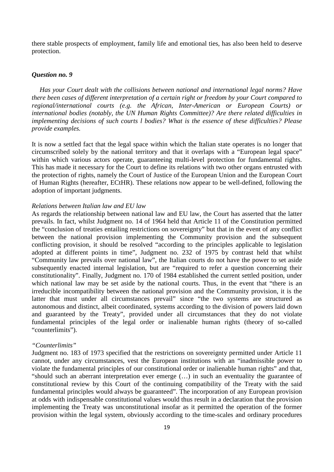there stable prospects of employment, family life and emotional ties, has also been held to deserve protection.

### *Question no. 9*

*Has your Court dealt with the collisions between national and international legal norms? Have there been cases of different interpretation of a certain right or freedom by your Court compared to regional/international courts (e.g. the African, Inter-American or European Courts) or international bodies (notably, the UN Human Rights Committee)? Are there related difficulties in implementing decisions of such courts l bodies? What is the essence of these difficulties? Please provide examples.*

It is now a settled fact that the legal space within which the Italian state operates is no longer that circumscribed solely by the national territory and that it overlaps with a "European legal space" within which various actors operate, guaranteeing multi-level protection for fundamental rights. This has made it necessary for the Court to define its relations with two other organs entrusted with the protection of rights, namely the Court of Justice of the European Union and the European Court of Human Rights (hereafter, ECtHR). These relations now appear to be well-defined, following the adoption of important judgments.

## *Relations between Italian law and EU law*

As regards the relationship between national law and EU law, the Court has asserted that the latter prevails. In fact, whilst Judgment no. 14 of 1964 held that Article 11 of the Constitution permitted the "conclusion of treaties entailing restrictions on sovereignty" but that in the event of any conflict between the national provision implementing the Community provision and the subsequent conflicting provision, it should be resolved "according to the principles applicable to legislation adopted at different points in time", Judgment no. 232 of 1975 by contrast held that whilst "Community law prevails over national law", the Italian courts do not have the power to set aside subsequently enacted internal legislation, but are "required to refer a question concerning their constitutionality". Finally, Judgment no. 170 of 1984 established the current settled position, under which national law may be set aside by the national courts. Thus, in the event that "there is an irreducible incompatibility between the national provision and the Community provision, it is the latter that must under all circumstances prevail" since "the two systems are structured as autonomous and distinct, albeit coordinated, systems according to the division of powers laid down and guaranteed by the Treaty", provided under all circumstances that they do not violate fundamental principles of the legal order or inalienable human rights (theory of so-called "counterlimits").

### *"Counterlimits"*

Judgment no. 183 of 1973 specified that the restrictions on sovereignty permitted under Article 11 cannot, under any circumstances, vest the European institutions with an "inadmissible power to violate the fundamental principles of our constitutional order or inalienable human rights" and that, "should such an aberrant interpretation ever emerge (…) in such an eventuality the guarantee of constitutional review by this Court of the continuing compatibility of the Treaty with the said fundamental principles would always be guaranteed". The incorporation of any European provision at odds with indispensable constitutional values would thus result in a declaration that the provision implementing the Treaty was unconstitutional insofar as it permitted the operation of the former provision within the legal system, obviously according to the time-scales and ordinary procedures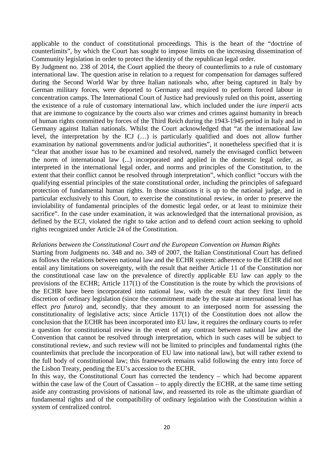applicable to the conduct of constitutional proceedings. This is the heart of the "doctrine of counterlimits", by which the Court has sought to impose limits on the increasing dissemination of Community legislation in order to protect the identity of the republican legal order.

By Judgment no. 238 of 2014, the Court applied the theory of counterlimits to a rule of customary international law. The question arise in relation to a request for compensation for damages suffered during the Second World War by three Italian nationals who, after being captured in Italy by German military forces, were deported to Germany and required to perform forced labour in concentration camps. The International Court of Justice had previously ruled on this point, asserting the existence of a rule of customary international law, which included under the *iure imperii* acts that are immune to cognizance by the courts also war crimes and crimes against humanity in breach of human rights committed by forces of the Third Reich during the 1943-1945 period in Italy and in Germany against Italian nationals. Whilst the Court acknowledged that "at the international law level, the interpretation by the ICJ (…) is particularly qualified and does not allow further examination by national governments and/or judicial authorities", it nonetheless specified that it is "clear that another issue has to be examined and resolved, namely the envisaged conflict between the norm of international law (...) incorporated and applied in the domestic legal order, as interpreted in the international legal order, and norms and principles of the Constitution, to the extent that their conflict cannot be resolved through interpretation", which conflict "occurs with the qualifying essential principles of the state constitutional order, including the principles of safeguard protection of fundamental human rights. In those situations it is up to the national judge, and in particular exclusively to this Court, to exercise the constitutional review, in order to preserve the inviolability of fundamental principles of the domestic legal order, or at least to minimize their sacrifice". In the case under examination, it was acknowledged that the international provision, as defined by the ECJ, violated the right to take action and to defend court action seeking to uphold rights recognized under Article 24 of the Constitution.

## *Relations between the Constitutional Court and the European Convention on Human Rights*

Starting from Judgments no. 348 and no. 349 of 2007, the Italian Constitutional Court has defined as follows the relations between national law and the ECHR system: adherence to the ECHR did not entail any limitations on sovereignty, with the result that neither Article 11 of the Constitution nor the constitutional case law on the prevalence of directly applicable EU law can apply to the provisions of the ECHR; Article 117(1) of the Constitution is the route by which the provisions of the ECHR have been incorporated into national law, with the result that they first limit the discretion of ordinary legislation (since the commitment made by the state at international level has effect *pro futuro*) and, secondly, that they amount to an interposed norm for assessing the constitutionality of legislative acts; since Article 117(1) of the Constitution does not allow the conclusion that the ECHR has been incorporated into EU law, it requires the ordinary courts to refer a question for constitutional review in the event of any contrast between national law and the Convention that cannot be resolved through interpretation, which in such cases will be subject to constitutional review, and such review will not be limited to principles and fundamental rights (the counterlimits that preclude the incorporation of EU law into national law), but will rather extend to the full body of constitutional law; this framework remains valid following the entry into force of the Lisbon Treaty, pending the EU's accession to the ECHR.

In this way, the Constitutional Court has corrected the tendency – which had become apparent within the case law of the Court of Cassation – to apply directly the ECHR, at the same time setting aside any contrasting provisions of national law, and reasserted its role as the ultimate guardian of fundamental rights and of the compatibility of ordinary legislation with the Constitution within a system of centralized control.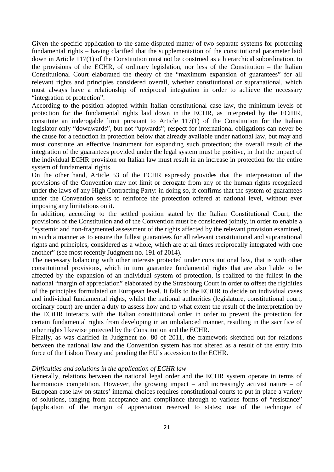Given the specific application to the same disputed matter of two separate systems for protecting fundamental rights – having clarified that the supplementation of the constitutional parameter laid down in Article 117(1) of the Constitution must not be construed as a hierarchical subordination, to the provisions of the ECHR, of ordinary legislation, nor less of the Constitution – the Italian Constitutional Court elaborated the theory of the "maximum expansion of guarantees" for all relevant rights and principles considered overall, whether constitutional or supranational, which must always have a relationship of reciprocal integration in order to achieve the necessary "integration of protection".

According to the position adopted within Italian constitutional case law, the minimum levels of protection for the fundamental rights laid down in the ECHR, as interpreted by the ECtHR, constitute an inderogable limit pursuant to Article 117(1) of the Constitution for the Italian legislator only "downwards", but not "upwards"; respect for international obligations can never be the cause for a reduction in protection below that already available under national law, but may and must constitute an effective instrument for expanding such protection; the overall result of the integration of the guarantees provided under the legal system must be positive, in that the impact of the individual ECHR provision on Italian law must result in an increase in protection for the entire system of fundamental rights.

On the other hand, Article 53 of the ECHR expressly provides that the interpretation of the provisions of the Convention may not limit or derogate from any of the human rights recognized under the laws of any High Contracting Party: in doing so, it confirms that the system of guarantees under the Convention seeks to reinforce the protection offered at national level, without ever imposing any limitations on it.

In addition, according to the settled position stated by the Italian Constitutional Court, the provisions of the Constitution and of the Convention must be considered jointly, in order to enable a "systemic and non-fragmented assessment of the rights affected by the relevant provision examined, in such a manner as to ensure the fullest guarantees for all relevant constitutional and supranational rights and principles, considered as a whole, which are at all times reciprocally integrated with one another" (see most recently Judgment no. 191 of 2014).

The necessary balancing with other interests protected under constitutional law, that is with other constitutional provisions, which in turn guarantee fundamental rights that are also liable to be affected by the expansion of an individual system of protection, is realized to the fullest in the national "margin of appreciation" elaborated by the Strasbourg Court in order to offset the rigidities of the principles formulated on European level. It falls to the ECtHR to decide on individual cases and individual fundamental rights, whilst the national authorities (legislature, constitutional court, ordinary court) are under a duty to assess how and to what extent the result of the interpretation by the ECtHR interacts with the Italian constitutional order in order to prevent the protection for certain fundamental rights from developing in an imbalanced manner, resulting in the sacrifice of other rights likewise protected by the Constitution and the ECHR.

Finally, as was clarified in Judgment no. 80 of 2011, the framework sketched out for relations between the national law and the Convention system has not altered as a result of the entry into force of the Lisbon Treaty and pending the EU's accession to the ECHR.

## *Difficulties and solutions in the application of ECHR law*

Generally, relations between the national legal order and the ECHR system operate in terms of harmonious competition. However, the growing impact – and increasingly activist nature – of European case law on states' internal choices requires constitutional courts to put in place a variety of solutions, ranging from acceptance and compliance through to various forms of "resistance" (application of the margin of appreciation reserved to states; use of the technique of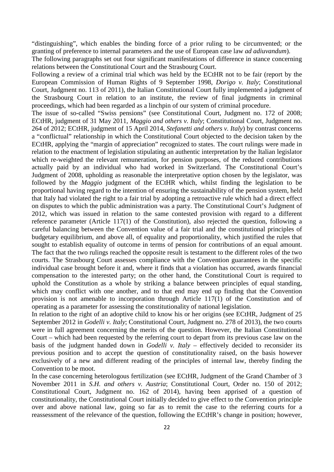"distinguishing", which enables the binding force of a prior ruling to be circumvented; or the granting of preference to internal parameters and the use of European case law *ad adiuvandum*).

The following paragraphs set out four significant manifestations of difference in stance concerning relations between the Constitutional Court and the Strasbourg Court.

Following a review of a criminal trial which was held by the ECtHR not to be fair (report by the European Commission of Human Rights of 9 September 1998, *Dorigo v. Italy*; Constitutional Court, Judgment no. 113 of 2011), the Italian Constitutional Court fully implemented a judgment of the Strasbourg Court in relation to an institute, the review of final judgments in criminal proceedings, which had been regarded as a linchpin of our system of criminal procedure.

The issue of so-called "Swiss pensions" (see Constitutional Court, Judgment no. 172 of 2008; ECtHR, judgment of 31 May 2011, *Maggio and others v. Italy*; Constitutional Court, Judgment no. 264 of 2012; ECtHR, judgment of 15 April 2014, *Stefanetti and others v. Italy*) by contrast concerns a "conflictual" relationship in which the Constitutional Court objected to the decision taken by the ECtHR, applying the "margin of appreciation" recognized to states. The court rulings were made in relation to the enactment of legislation stipulating an authentic interpretation by the Italian legislator which re-weighted the relevant remuneration, for pension purposes, of the reduced contributions actually paid by an individual who had worked in Switzerland. The Constitutional Court's Judgment of 2008, upholding as reasonable the interpretative option chosen by the legislator, was followed by the *Maggio* judgment of the ECtHR which, whilst finding the legislation to be proportional having regard to the intention of ensuring the sustainability of the pension system, held that Italy had violated the right to a fair trial by adopting a retroactive rule which had a direct effect on disputes to which the public administration was a party. The Constitutional Court's Judgment of 2012, which was issued in relation to the same contested provision with regard to a different reference parameter (Article 117(1) of the Constitution), also rejected the question, following a careful balancing between the Convention value of a fair trial and the constitutional principles of budgetary equilibrium, and above all, of equality and proportionality, which justified the rules that sought to establish equality of outcome in terms of pension for contributions of an equal amount. The fact that the two rulings reached the opposite result is testament to the different roles of the two courts. The Strasbourg Court assesses compliance with the Convention guarantees in the specific individual case brought before it and, where it finds that a violation has occurred, awards financial compensation to the interested party; on the other hand, the Constitutional Court is required to uphold the Constitution as a whole by striking a balance between principles of equal standing, which may conflict with one another, and to that end may end up finding that the Convention provision is not amenable to incorporation through Article 117(1) of the Constitution and of operating as a parameter for assessing the constitutionality of national legislation.

In relation to the right of an adoptive child to know his or her origins (see ECtHR, Judgment of 25 September 2012 in *Godelli v. Italy*; Constitutional Court, Judgment no. 278 of 2013), the two courts were in full agreement concerning the merits of the question. However, the Italian Constitutional Court – which had been requested by the referring court to depart from its previous case law on the basis of the judgment handed down in *Godelli v. Italy* – effectively decided to reconsider its previous position and to accept the question of constitutionality raised, on the basis however exclusively of a new and different reading of the principles of internal law, thereby finding the Convention to be moot.

In the case concerning heterologous fertilization (see ECtHR, Judgment of the Grand Chamber of 3 November 2011 in *S.H. and others v. Austria*; Constitutional Court, Order no. 150 of 2012; Constitutional Court, Judgment no. 162 of 2014), having been apprised of a question of constitutionality, the Constitutional Court initially decided to give effect to the Convention principle over and above national law, going so far as to remit the case to the referring courts for a reassessment of the relevance of the question, following the ECtHR's change in position; however,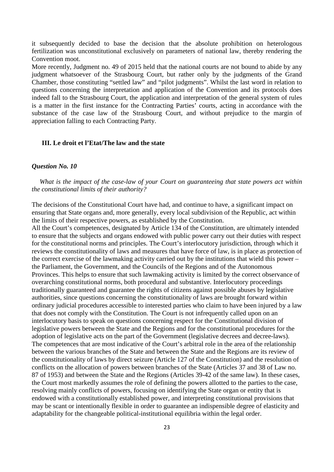it subsequently decided to base the decision that the absolute prohibition on heterologous fertilization was unconstitutional exclusively on parameters of national law, thereby rendering the Convention moot.

More recently, Judgment no. 49 of 2015 held that the national courts are not bound to abide by any judgment whatsoever of the Strasbourg Court, but rather only by the judgments of the Grand Chamber, those constituting "settled law" and "pilot judgments". Whilst the last word in relation to questions concerning the interpretation and application of the Convention and its protocols does indeed fall to the Strasbourg Court, the application and interpretation of the general system of rules is a matter in the first instance for the Contracting Parties' courts, acting in accordance with the substance of the case law of the Strasbourg Court, and without prejudice to the margin of appreciation falling to each Contracting Party.

## **III. Le droit et l'Etat/The law and the state**

### *Question No. 10*

*What is the impact of the case-law of your Court on guaranteeing that state powers act within the constitutional limits of their authority?*

The decisions of the Constitutional Court have had, and continue to have, a significant impact on ensuring that State organs and, more generally, every local subdivision of the Republic, act within the limits of their respective powers, as established by the Constitution.

All the Court's competences, designated by Article 134 of the Constitution, are ultimately intended to ensure that the subjects and organs endowed with public power carry out their duties with respect for the constitutional norms and principles. The Court's interlocutory jurisdiction, through which it reviews the constitutionality of laws and measures that have force of law, is in place as protection of the correct exercise of the lawmaking activity carried out by the institutions that wield this power – the Parliament, the Government, and the Councils of the Regions and of the Autonomous Provinces. This helps to ensure that such lawmaking activity is limited by the correct observance of overarching constitutional norms, both procedural and substantive. Interlocutory proceedings traditionally guaranteed and guarantee the rights of citizens against possible abuses by legislative authorities, since questions concerning the constitutionality of laws are brought forward within ordinary judicial procedures accessible to interested parties who claim to have been injured by a law that does not comply with the Constitution. The Court is not infrequently called upon on an interlocutory basis to speak on questions concerning respect for the Constitutional division of legislative powers between the State and the Regions and for the constitutional procedures for the adoption of legislative acts on the part of the Government (legislative decrees and decree-laws). The competences that are most indicative of the Court's arbitral role in the area of the relationship between the various branches of the State and between the State and the Regions are its review of the constitutionality of laws by direct seizure (Article 127 of the Constitution) and the resolution of conflicts on the allocation of powers between branches of the State (Articles 37 and 38 of Law no. 87 of 1953) and between the State and the Regions (Articles 39-42 of the same law). In these cases, the Court most markedly assumes the role of defining the powers allotted to the parties to the case, resolving mainly conflicts of powers, focusing on identifying the State organ or entity that is endowed with a constitutionally established power, and interpreting constitutional provisions that may be scant or intentionally flexible in order to guarantee an indispensible degree of elasticity and adaptability for the changeable political-institutional equilibria within the legal order.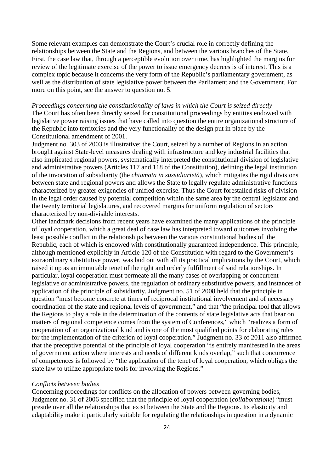Some relevant examples can demonstrate the Court's crucial role in correctly defining the relationships between the State and the Regions, and between the various branches of the State. First, the case law that, through a perceptible evolution over time, has highlighted the margins for review of the legitimate exercise of the power to issue emergency decrees is of interest. This is a complex topic because it concerns the very form of the Republic's parliamentary government, as well as the distribution of state legislative power between the Parliament and the Government. For more on this point, see the answer to question no. 5.

### *Proceedings concerning the constitutionality of laws in which the Court is seized directly*

The Court has often been directly seized for constitutional proceedings by entities endowed with legislative power raising issues that have called into question the entire organizational structure of the Republic into territories and the very functionality of the design put in place by the Constitutional amendment of 2001.

Judgment no. 303 of 2003 is illustrative: the Court, seized by a number of Regions in an action brought against State-level measures dealing with infrastructure and key industrial facilities that also implicated regional powers, systematically interpreted the constitutional division of legislative and administrative powers (Articles 117 and 118 of the Constitution), defining the legal institution of the invocation of subsidiarity (the *chiamata in sussidiarietà*), which mitigates the rigid divisions between state and regional powers and allows the State to legally regulate administrative functions characterized by greater exigencies of unified exercise. Thus the Court forestalled risks of division in the legal order caused by potential competition within the same area by the central legislator and the twenty territorial legislatures, and recovered margins for uniform regulation of sectors characterized by non-divisible interests.

Other landmark decisions from recent years have examined the many applications of the principle of loyal cooperation, which a great deal of case law has interpreted toward outcomes involving the least possible conflict in the relationships between the various constitutional bodies of the Republic, each of which is endowed with constitutionally guaranteed independence. This principle, although mentioned explicitly in Article 120 of the Constitution with regard to the Government's extraordinary substitutive power, was laid out with all its practical implications by the Court, which raised it up as an immutable tenet of the right and orderly fulfillment of said relationships. In particular, loyal cooperation must permeate all the many cases of overlapping or concurrent legislative or administrative powers, the regulation of ordinary substitutive powers, and instances of application of the principle of subsidiarity. Judgment no. 51 of 2008 held that the principle in question "must become concrete at times of reciprocal institutional involvement and of necessary coordination of the state and regional levels of government," and that "the principal tool that allows the Regions to play a role in the determination of the contents of state legislative acts that bear on matters of regional competence comes from the system of Conferences," which "realizes a form of cooperation of an organizational kind and is one of the most qualified points for elaborating rules for the implementation of the criterion of loyal cooperation." Judgment no. 33 of 2011 also affirmed that the preceptive potential of the principle of loyal cooperation "is entirely manifested in the areas of government action where interests and needs of different kinds overlap," such that concurrence of competences is followed by "the application of the tenet of loyal cooperation, which obliges the state law to utilize appropriate tools for involving the Regions."

# *Conflicts between bodies*

Concerning proceedings for conflicts on the allocation of powers between governing bodies, Judgment no. 31 of 2006 specified that the principle of loyal cooperation (*collaborazione*) "must preside over all the relationships that exist between the State and the Regions. Its elasticity and adaptability make it particularly suitable for regulating the relationships in question in a dynamic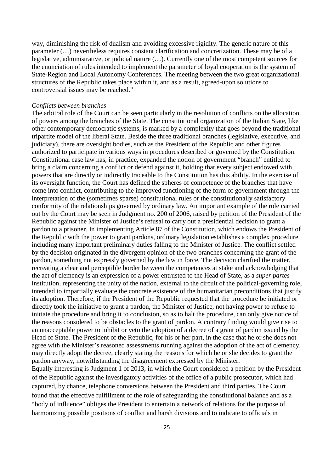way, diminishing the risk of dualism and avoiding excessive rigidity. The generic nature of this parameter (…) nevertheless requires constant clarification and concretization. These may be of a legislative, administrative, or judicial nature (…). Currently one of the most competent sources for the enunciation of rules intended to implement the parameter of loyal cooperation is the system of State-Region and Local Autonomy Conferences. The meeting between the two great organizational structures of the Republic takes place within it, and as a result, agreed-upon solutions to controversial issues may be reached."

### *Conflicts between branches*

The arbitral role of the Court can be seen particularly in the resolution of conflicts on the allocation of powers among the branches of the State. The constitutional organization of the Italian State, like other contemporary democratic systems, is marked by a complexity that goes beyond the traditional tripartite model of the liberal State. Beside the three traditional branches (legislative, executive, and judiciary), there are oversight bodies, such as the President of the Republic and other figures authorized to participate in various ways in procedures described or governed by the Constitution. Constitutional case law has, in practice, expanded the notion of government "branch" entitled to bring a claim concerning a conflict or defend against it, holding that every subject endowed with powers that are directly or indirectly traceable to the Constitution has this ability. In the exercise of its oversight function, the Court has defined the spheres of competence of the branches that have come into conflict, contributing to the improved functioning of the form of government through the interpretation of the (sometimes sparse) constitutional rules or the constitutionally satisfactory conformity of the relationships governed by ordinary law. An important example of the role carried out by the Court may be seen in Judgment no. 200 of 2006, raised by petition of the President of the Republic against the Minister of Justice's refusal to carry out a presidential decision to grant a pardon to a prisoner. In implementing Article 87 of the Constitution, which endows the President of the Republic with the power to grant pardons, ordinary legislation establishes a complex procedure including many important preliminary duties falling to the Minister of Justice. The conflict settled by the decision originated in the divergent opinion of the two branches concerning the grant of the pardon, something not expressly governed by the law in force. The decision clarified the matter, recreating a clear and perceptible border between the competences at stake and acknowledging that the act of clemency is an expression of a power entrusted to the Head of State, as a *super partes* institution, representing the unity of the nation, external to the circuit of the political-governing role, intended to impartially evaluate the concrete existence of the humanitarian preconditions that justify its adoption. Therefore, if the President of the Republic requested that the procedure be initiated or directly took the initiative to grant a pardon, the Minister of Justice, not having power to refuse to initiate the procedure and bring it to conclusion, so as to halt the procedure, can only give notice of the reasons considered to be obstacles to the grant of pardon. A contrary finding would give rise to an unacceptable power to inhibit or veto the adoption of a decree of a grant of pardon issued by the Head of State. The President of the Republic, for his or her part, in the case that he or she does not agree with the Minister's reasoned assessments running against the adoption of the act of clemency, may directly adopt the decree, clearly stating the reasons for which he or she decides to grant the pardon anyway, notwithstanding the disagreement expressed by the Minister.

Equally interesting is Judgment 1 of 2013, in which the Court considered a petition by the President of the Republic against the investigatory activities of the office of a public prosecutor, which had captured, by chance, telephone conversions between the President and third parties. The Court found that the effective fulfillment of the role of safeguarding the constitutional balance and as a "body of influence" obliges the President to entertain a network of relations for the purpose of harmonizing possible positions of conflict and harsh divisions and to indicate to officials in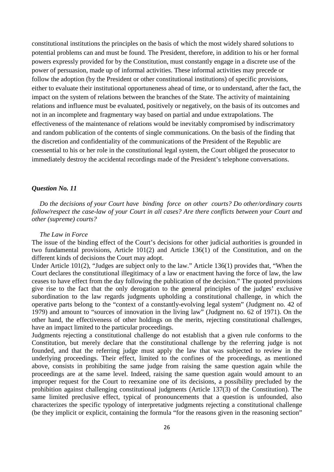constitutional institutions the principles on the basis of which the most widely shared solutions to potential problems can and must be found. The President, therefore, in addition to his or her formal powers expressly provided for by the Constitution, must constantly engage in a discrete use of the power of persuasion, made up of informal activities. These informal activities may precede or follow the adoption (by the President or other constitutional institutions) of specific provisions, either to evaluate their institutional opportuneness ahead of time, or to understand, after the fact, the impact on the system of relations between the branches of the State. The activity of maintaining relations and influence must be evaluated, positively or negatively, on the basis of its outcomes and not in an incomplete and fragmentary way based on partial and undue extrapolations. The effectiveness of the maintenance of relations would be inevitably compromised by indiscrimatory and random publication of the contents of single communications. On the basis of the finding that the discretion and confidentiality of the communications of the President of the Republic are coessential to his or her role in the constitutional legal system, the Court obliged the prosecutor to immediately destroy the accidental recordings made of the President's telephone conversations.

## *Question No. 11*

*Do the decisions of your Court have binding force on other courts? Do other/ordinary courts follow/respect the case-law of your Court in all cases? Are there conflicts between your Court and other (supreme) courts?*

### *The Law in Force*

The issue of the binding effect of the Court's decisions for other judicial authorities is grounded in two fundamental provisions, Article 101(2) and Article 136(1) of the Constitution, and on the different kinds of decisions the Court may adopt.

Under Article 101(2), "Judges are subject only to the law." Article 136(1) provides that, "When the Court declares the constitutional illegitimacy of a law or enactment having the force of law, the law ceases to have effect from the day following the publication of the decision." The quoted provisions give rise to the fact that the only derogation to the general principles of the judges' exclusive subordination to the law regards judgments upholding a constitutional challenge, in which the operative parts belong to the "context of a constantly-evolving legal system" (Judgment no. 42 of 1979) and amount to "sources of innovation in the living law" (Judgment no. 62 of 1971). On the other hand, the effectiveness of other holdings on the merits, rejecting constitutional challenges, have an impact limited to the particular proceedings.

Judgments rejecting a constitutional challenge do not establish that a given rule conforms to the Constitution, but merely declare that the constitutional challenge by the referring judge is not founded, and that the referring judge must apply the law that was subjected to review in the underlying proceedings. Their effect, limited to the confines of the proceedings, as mentioned above, consists in prohibiting the same judge from raising the same question again while the proceedings are at the same level. Indeed, raising the same question again would amount to an improper request for the Court to reexamine one of its decisions, a possibility precluded by the prohibition against challenging constitutional judgments (Article 137(3) of the Constitution). The same limited preclusive effect, typical of pronouncements that a question is unfounded, also characterizes the specific typology of interpretative judgments rejecting a constitutional challenge (be they implicit or explicit, containing the formula "for the reasons given in the reasoning section"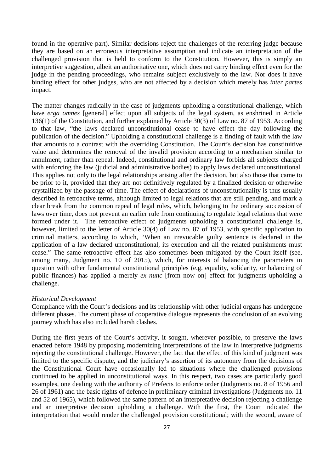found in the operative part). Similar decisions reject the challenges of the referring judge because they are based on an erroneous interpretative assumption and indicate an interpretation of the challenged provision that is held to conform to the Constitution. However, this is simply an interpretive suggestion, albeit an authoritative one, which does not carry binding effect even for the judge in the pending proceedings, who remains subject exclusively to the law. Nor does it have binding effect for other judges, who are not affected by a decision which merely has *inter partes* impact.

The matter changes radically in the case of judgments upholding a constitutional challenge, which have *erga omnes* [general] effect upon all subjects of the legal system, as enshrined in Article 136(1) of the Constitution, and further explained by Article 30(3) of Law no. 87 of 1953. According to that law, "the laws declared unconstitutional cease to have effect the day following the publication of the decision." Upholding a constitutional challenge is a finding of fault with the law that amounts to a contrast with the overriding Constitution. The Court's decision has constituitive value and determines the removal of the invalid provision according to a mechanism similar to annulment, rather than repeal. Indeed, constitutional and ordinary law forbids all subjects charged with enforcing the law (judicial and administrative bodies) to apply laws declared unconstitutional. This applies not only to the legal relationships arising after the decision, but also those that came to be prior to it, provided that they are not definitively regulated by a finalized decision or otherwise crystallized by the passage of time. The effect of declarations of unconstitutionality is thus usually described in retroactive terms, although limited to legal relations that are still pending, and mark a clear break from the common repeal of legal rules, which, belonging to the ordinary succession of laws over time, does not prevent an earlier rule from continuing to regulate legal relations that were formed under it. The retroactive effect of judgments upholding a constitutional challenge is, however, limited to the letter of Article 30(4) of Law no. 87 of 1953, with specific application to criminal matters, according to which, "When an irrevocable guilty sentence is declared in the application of a law declared unconstitutional, its execution and all the related punishments must cease." The same retroactive effect has also sometimes been mitigated by the Court itself (see, among many, Judgment no. 10 of 2015), which, for interests of balancing the parameters in question with other fundamental constitutional principles (e.g. equality, solidarity, or balancing of public finances) has applied a merely *ex nunc* [from now on] effect for judgments upholding a challenge.

### *Historical Development*

Compliance with the Court's decisions and its relationship with other judicial organs has undergone different phases. The current phase of cooperative dialogue represents the conclusion of an evolving journey which has also included harsh clashes.

During the first years of the Court's activity, it sought, wherever possible, to preserve the laws enacted before 1948 by proposing modernizing interpretations of the law in interpretive judgments rejecting the constitutional challenge. However, the fact that the effect of this kind of judgment was limited to the specific dispute, and the judiciary's assertion of its autonomy from the decisions of the Constitutional Court have occasionally led to situations where the challenged provisions continued to be applied in unconstitutional ways. In this respect, two cases are particularly good examples, one dealing with the authority of Prefects to enforce order (Judgments no. 8 of 1956 and 26 of 1961) and the basic rights of defence in preliminary criminal investigations (Judgments no. 11 and 52 of 1965), which followed the same pattern of an interpretative decision rejecting a challenge and an interpretive decision upholding a challenge. With the first, the Court indicated the interpretation that would render the challenged provision constitutional; with the second, aware of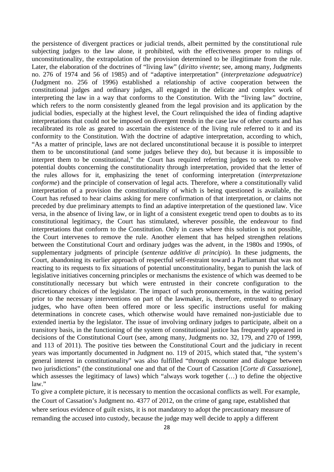the persistence of divergent practices or judicial trends, albeit permitted by the constitutional rule subjecting judges to the law alone, it prohibited, with the effectiveness proper to rulings of unconstitutionality, the extrapolation of the provision determined to be illegitimate from the rule. Later, the elaboration of the doctrines of "living law" (*diritto vivente*; see, among many, Judgments no. 276 of 1974 and 56 of 1985) and of "adaptive interpretation" (*interpretazione adeguatrice*) (Judgment no. 256 of 1996) established a relationship of active cooperation between the constitutional judges and ordinary judges, all engaged in the delicate and complex work of interpreting the law in a way that conforms to the Constitution. With the "living law" doctrine, which refers to the norm consistently gleaned from the legal provision and its application by the judicial bodies, especially at the highest level, the Court relinquished the idea of finding adaptive interpretations that could not be imposed on divergent trends in the case law of other courts and has recalibrated its role as geared to ascertain the existence of the living rule referred to it and its conformity to the Constitution. With the doctrine of adaptive interpretation, according to which, "As a matter of principle, laws are not declared unconstitutional because it is possible to interpret them to be unconstitutional (and some judges believe they do), but because it is impossible to interpret them to be constitutional," the Court has required referring judges to seek to resolve potential doubts concerning the constitutionality through interpretation, provided that the letter of the rules allows for it, emphasizing the tenet of conforming interpretation (*interpretazione conforme*) and the principle of conservation of legal acts. Therefore, where a constitutionally valid interpretation of a provision the constitutionality of which is being questioned is available, the Court has refused to hear claims asking for mere confirmation of that interpretation, or claims not preceded by due preliminary attempts to find an adaptive interpretation of the questioned law. Vice versa, in the absence of living law, or in light of a consistent exegetic trend open to doubts as to its constitutional legitimacy, the Court has stimulated, wherever possible, the endeavour to find interpretations that conform to the Constitution. Only in cases where this solution is not possible, the Court intervenes to remove the rule. Another element that has helped strengthen relations between the Constitutional Court and ordinary judges was the advent, in the 1980s and 1990s, of supplementary judgments of principle (*sentenze additive di principio*). In these judgments, the Court, abandoning its earlier approach of respectful self-restraint toward a Parliamant that was not reacting to its requests to fix situations of potential unconstitutionality, began to punish the lack of legislative initiatives concerning principles or mechanisms the existence of which was deemed to be constitutionally necessary but which were entrusted in their concrete configuration to the discretionary choices of the legislator. The impact of such pronouncements, in the waiting period prior to the necessary interventions on part of the lawmaker, is, therefore, entrusted to ordinary judges, who have often been offered more or less specific instructions useful for making determinations in concrete cases, which otherwise would have remained non-justiciable due to extended inertia by the legislator. The issue of involving ordinary judges to participate, albeit on a transitory basis, in the functioning of the system of constitutional justice has frequently appeared in decisions of the Constitutional Court (see, among many, Judgments no. 32, 179, and 270 of 1999, and 113 of 2011). The positive ties between the Constitutional Court and the judiciary in recent years was importantly documented in Judgment no. 119 of 2015, which stated that, "the system's general interest in constitutionality" was also fulfilled "through encounter and dialogue between two jurisdictions" (the constitutional one and that of the Court of Cassation [*Corte di Cassazione*], which assesses the legitimacy of laws) which "always work together (…) to define the objective law."

To give a complete picture, it is necessary to mention the occasional conflicts as well. For example, the Court of Cassation's Judgment no. 4377 of 2012, on the crime of gang rape, established that where serious evidence of guilt exists, it is not mandatory to adopt the precautionary measure of remanding the accused into custody, because the judge may well decide to apply a different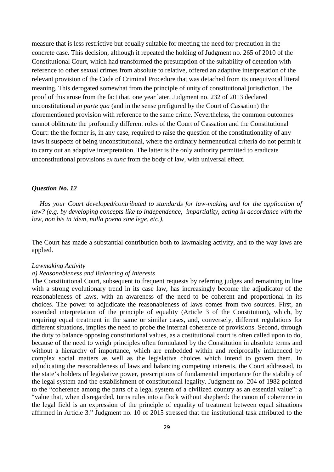measure that is less restrictive but equally suitable for meeting the need for precaution in the concrete case. This decision, although it repeated the holding of Judgment no. 265 of 2010 of the Constitutional Court, which had transformed the presumption of the suitability of detention with reference to other sexual crimes from absolute to relative, offered an adaptive interpretation of the relevant provision of the Code of Criminal Procedure that was detached from its unequivocal literal meaning. This derogated somewhat from the principle of unity of constitutional jurisdiction. The proof of this arose from the fact that, one year later, Judgment no. 232 of 2013 declared unconstitutional *in parte qua* (and in the sense prefigured by the Court of Cassation) the aforementioned provision with reference to the same crime. Nevertheless, the common outcomes cannot obliterate the profoundly different roles of the Court of Cassation and the Constitutional Court: the the former is, in any case, required to raise the question of the constitutionality of any laws it suspects of being unconstitutional, where the ordinary hermeneutical criteria do not permit it to carry out an adaptive interpretation. The latter is the only authority permitted to eradicate unconstitutional provisions *ex tunc* from the body of law, with universal effect.

# *Question No. 12*

*Has your Court developed/contributed to standards for law-making and for the application of law? (e.g. by developing concepts like to independence, impartiality, acting in accordance with the law, non bis in idem, nulla poena sine lege, etc.).*

The Court has made a substantial contribution both to lawmaking activity, and to the way laws are applied.

### *Lawmaking Activity*

# *a) Reasonableness and Balancing of Interests*

The Constitutional Court, subsequent to frequent requests by referring judges and remaining in line with a strong evolutionary trend in its case law, has increasingly become the adjudicator of the reasonableness of laws, with an awareness of the need to be coherent and proportional in its choices. The power to adjudicate the reasonableness of laws comes from two sources. First, an extended interpretation of the principle of equality (Article 3 of the Constitution), which, by requiring equal treatment in the same or similar cases, and, conversely, different regulations for different situations, implies the need to probe the internal coherence of provisions. Second, through the duty to balance opposing constitutional values, as a costitutional court is often called upon to do, because of the need to weigh principles often formulated by the Constitution in absolute terms and without a hierarchy of importance, which are embedded within and reciprocally influenced by complex social matters as well as the legislative choices which intend to govern them. In adjudicating the reasonableness of laws and balancing competing interests, the Court addressed, to the state's holders of legislative power, prescriptions of fundamental importance for the stability of the legal system and the establishment of constitutional legality. Judgment no. 204 of 1982 pointed to the "coherence among the parts of a legal system of a civilized country as an essential value": a "value that, when disregarded, turns rules into a flock without shepherd: the canon of coherence in the legal field is an expression of the principle of equality of treatment between equal situations affirmed in Article 3." Judgment no. 10 of 2015 stressed that the institutional task attributed to the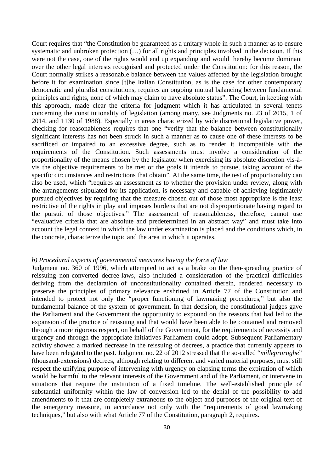Court requires that "the Constitution be guaranteed as a unitary whole in such a manner as to ensure systematic and unbroken protection (…) for all rights and principles involved in the decision. If this were not the case, one of the rights would end up expanding and would thereby become dominant over the other legal interests recognised and protected under the Constitution: for this reason, the Court normally strikes a reasonable balance between the values affected by the legislation brought before it for examination since [t]he Italian Constitution, as is the case for other contemporary democratic and pluralist constitutions, requires an ongoing mutual balancing between fundamental principles and rights, none of which may claim to have absolute status". The Court, in keeping with this approach, made clear the criteria for judgment which it has articulated in several tenets concerning the constitutionality of legislation (among many, see Judgments no. 23 of 2015, 1 of 2014, and 1130 of 1988). Especially in areas characterized by wide discretional legislative power, checking for reasonableness requires that one "verify that the balance between constitutionally significant interests has not been struck in such a manner as to cause one of these interests to be sacrificed or impaired to an excessive degree, such as to render it incompatible with the requirements of the Constitution. Such assessments must involve a consideration of the proportionality of the means chosen by the legislator when exercising its absolute discretion vis-àvis the objective requirements to be met or the goals it intends to pursue, taking account of the specific circumstances and restrictions that obtain". At the same time, the test of proportionality can also be used, which "requires an assessment as to whether the provision under review, along with the arrangements stipulated for its application, is necessary and capable of achieving legitimately pursued objectives by requiring that the measure chosen out of those most appropriate is the least restrictive of the rights in play and imposes burdens that are not disproportionate having regard to the pursuit of those objectives." The assessment of reasonableness, therefore, cannot use "evaluative criteria that are absolute and predetermined in an abstract way" and must take into account the legal context in which the law under examination is placed and the conditions which, in the concrete, characterize the topic and the area in which it operates.

### *b) Procedural aspects of governmental measures having the force of law*

Judgment no. 360 of 1996, which attempted to act as a brake on the then-spreading practice of reissuing non-converted decree-laws, also included a consideration of the practical difficulties deriving from the declaration of unconstitutionality contained therein, rendered necessary to preserve the principles of primary relevance enshrined in Article 77 of the Constitution and intended to protect not only the "proper functioning of lawmaking procedures," but also the fundamental balance of the system of government. In that decision, the constitutional judges gave the Parliament and the Government the opportunity to expound on the reasons that had led to the expansion of the practice of reissuing and that would have been able to be contained and removed through a more rigorous respect, on behalf of the Government, for the requirements of necessity and urgency and through the appropriate initiatives Parliament could adopt. Subsequent Parliamentary activity showed a marked decrease in the reissuing of decrees, a practice that currently appears to have been relegated to the past. Judgment no. 22 of 2012 stressed that the so-called "*milleproroghe*" (thousand-extensions) decrees, although relating to different and varied material purposes, must still respect the unifying purpose of intervening with urgency on elapsing terms the expiration of which would be harmful to the relevant interests of the Government and of the Parliament, or intervene in situations that require the institution of a fixed timeline. The well-established principle of substantial uniformity within the law of conversion led to the denial of the possibility to add amendments to it that are completely extraneous to the object and purposes of the original text of the emergency measure, in accordance not only with the "requirements of good lawmaking techniques," but also with what Article 77 of the Constitution, paragraph 2, requires.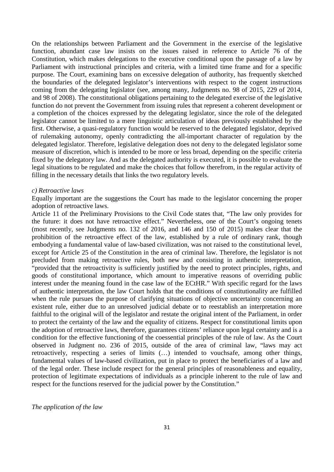On the relationships between Parliament and the Government in the exercise of the legislative function, abundant case law insists on the issues raised in reference to Article 76 of the Constitution, which makes delegations to the executive conditional upon the passage of a law by Parliament with instructional principles and criteria, with a limited time frame and for a specific purpose. The Court, examining bans on excessive delegation of authority, has frequently sketched the boundaries of the delegated legislator's interventions with respect to the cogent instructions coming from the delegating legislator (see, among many, Judgments no. 98 of 2015, 229 of 2014, and 98 of 2008). The constitutional obligations pertaining to the delegated exercise of the legislative function do not prevent the Government from issuing rules that represent a coherent development or a completion of the choices expressed by the delegating legislator, since the role of the delegated legislator cannot be limited to a mere linguistic articulation of ideas previously established by the first. Otherwise, a quasi-regulatory function would be reserved to the delegated legislator, deprived of rulemaking autonomy, openly contradicting the all-important character of regulation by the delegated legislator. Therefore, legislative delegation does not deny to the delegated legislator some measure of discretion, which is intended to be more or less broad, depending on the specific criteria fixed by the delegatory law. And as the delegated authority is executed, it is possible to evaluate the legal situations to be regulated and make the choices that follow therefrom, in the regular activity of filling in the necessary details that links the two regulatory levels.

### *c) Retroactive laws*

Equally important are the suggestions the Court has made to the legislator concerning the proper adoption of retroactive laws.

Article 11 of the Preliminary Provisions to the Civil Code states that, "The law only provides for the future: it does not have retroactive effect." Nevertheless, one of the Court's ongoing tenets (most recently, see Judgments no. 132 of 2016, and 146 and 150 of 2015) makes clear that the prohibition of the retroactive effect of the law, established by a rule of ordinary rank, though embodying a fundamental value of law-based civilization, was not raised to the constitutional level, except for Article 25 of the Constitution in the area of criminal law. Therefore, the legislator is not precluded from making retroactive rules, both new and consisting in authentic interpretation, "provided that the retroactivity is sufficiently justified by the need to protect principles, rights, and goods of constitutional importance, which amount to imperative reasons of overriding public interest under the meaning found in the case law of the ECtHR." With specific regard for the laws of authentic interpretation, the law Court holds that the conditions of constitutionality are fulfilled when the rule pursues the purpose of clarifying situations of objective uncertainty concerning an existent rule, either due to an unresolved judicial debate or to reestablish an interpretation more faithful to the original will of the legislator and restate the original intent of the Parliament, in order to protect the certainty of the law and the equality of citizens. Respect for constitutional limits upon the adoption of retroactive laws, therefore, guarantees citizens' reliance upon legal certainty and is a condition for the effective functioning of the coessential principles of the rule of law. As the Court observed in Judgment no. 236 of 2015, outside of the area of criminal law, "laws may act retroactively, respecting a series of limits (…) intended to vouchsafe, among other things, fundamental values of law-based civilization, put in place to protect the beneficiaries of a law and of the legal order. These include respect for the general principles of reasonableness and equality, protection of legitimate expectations of individuals as a principle inherent to the rule of law and respect for the functions reserved for the judicial power by the Constitution."

## *The application of the law*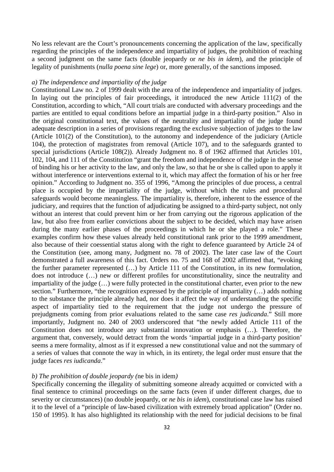No less relevant are the Court's pronouncements concerning the application of the law, specifically regarding the principles of the independence and impartiality of judges, the prohibition of reaching a second judgment on the same facts (double jeopardy or *ne bis in idem*), and the principle of legality of punishments (*nulla poena sine lege*) or, more generally, of the sanctions imposed.

### *a) The independence and impartiality of the judge*

Constitutional Law no. 2 of 1999 dealt with the area of the independence and impartiality of judges. In laying out the principles of fair proceedings, it introduced the new Article 111(2) of the Constitution, according to which, "All court trials are conducted with adversary proceedings and the parties are entitled to equal conditions before an impartial judge in a third-party position." Also in the original constitutional text, the values of the neutrality and impartiality of the judge found adequate description in a series of provisions regarding the exclusive subjection of judges to the law (Article 101(2) of the Constitution), to the autonomy and independence of the judiciary (Article 104), the protection of magistrates from removal (Article 107), and to the safeguards granted to special jurisdictions (Article 108(2)). Already Judgment no. 8 of 1962 affirmed that Articles 101, 102, 104, and 111 of the Constitution "grant the freedom and independence of the judge in the sense of binding his or her activity to the law, and only the law, so that he or she is called upon to apply it without interference or interventions external to it, which may affect the formation of his or her free opinion." According to Judgment no. 355 of 1996, "Among the principles of due process, a central place is occupied by the impartiality of the judge, without which the rules and procedural safeguards would become meaningless. The impartiality is, therefore, inherent to the essence of the judiciary, and requires that the function of adjudicating be assigned to a third-party subject, not only without an interest that could prevent him or her from carrying out the rigorous application of the law, but also free from earlier convictions about the subject to be decided, which may have arisen during the many earlier phases of the proceedings in which he or she played a role." These examples confirm how these values already held constitutional rank prior to the 1999 amendment, also because of their coessential status along with the right to defence guaranteed by Article 24 of the Constitution (see, among many, Judgment no. 78 of 2002). The later case law of the Court demonstrated a full awareness of this fact. Orders no. 75 and 168 of 2002 affirmed that, "evoking the further parameter represented (…) by Article 111 of the Constitution, in its new formulation, does not introduce (…) new or different profiles for unconstitutionality, since the neutrality and impartiality of the judge (…) were fully protected in the constitutional charter, even prior to the new section." Furthermore, "the recognition expressed by the principle of impartiality (…) adds nothing to the substance the principle already had, nor does it affect the way of understanding the specific aspect of impartiality tied to the requirement that the judge not undergo the pressure of prejudgments coming from prior evaluations related to the same case *res judicanda*." Still more importantly, Judgment no. 240 of 2003 underscored that "the newly added Article 111 of the Constitution does not introduce any substantial innovation or emphasis (…). Therefore, the argument that, conversely, would detract from the words 'impartial judge in a third-party position' seems a mere formality, almost as if it expressed a new constitutional value and not the summary of a series of values that connote the way in which, in its entirety, the legal order must ensure that the judge faces *res iudicanda*."

### *b) The prohibition of double jeopardy (*ne bis in idem*)*

Specifically concerning the illegality of submitting someone already acquitted or convicted with a final sentence to criminal proceedings on the same facts (even if under different charges, due to severity or circumstances) (no double jeopardy, or *ne bis in idem*), constitutional case law has raised it to the level of a "principle of law-based civilization with extremely broad application" (Order no. 150 of 1995). It has also highlighted its relationship with the need for judicial decisions to be final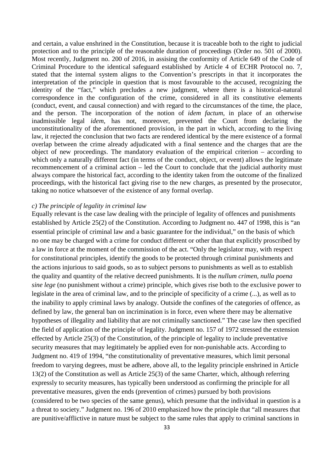and certain, a value enshrined in the Constitution, because it is traceable both to the right to judicial protection and to the principle of the reasonable duration of proceedings (Order no. 501 of 2000). Most recently, Judgment no. 200 of 2016, in assising the conformity of Article 649 of the Code of Criminal Procedure to the identical safeguard established by Article 4 of ECHR Protocol no. 7, stated that the internal system aligns to the Convention's prescripts in that it incorporates the interpretation of the principle in question that is most favourable to the accused, recognizing the identity of the "fact," which precludes a new judgment, where there is a historical-natural correspondence in the configuration of the crime, considered in all its constitutive elements (conduct, event, and causal connection) and with regard to the circumstances of the time, the place, and the person. The incorporation of the notion of *idem factum*, in place of an otherwise inadmissible legal *idem*, has not, moreover, prevented the Court from declaring the unconstitutionality of the aforementioned provision, in the part in which, according to the living law, it rejected the conclusion that two facts are rendered identical by the mere existence of a formal overlap between the crime already adjudicated with a final sentence and the charges that are the object of new proceedings. The mandatory evaluation of the empirical criterion – according to which only a naturally different fact (in terms of the conduct, object, or event) allows the legitimate recommencement of a criminal action – led the Court to conclude that the judicial authority must always compare the historical fact, according to the identity taken from the outcome of the finalized proceedings, with the historical fact giving rise to the new charges, as presented by the prosecutor, taking no notice whatsoever of the existence of any formal overlap.

# *c) The principle of legality in criminal law*

Equally relevant is the case law dealing with the principle of legality of offences and punishments established by Article 25(2) of the Constitution. According to Judgment no. 447 of 1998, this is "an essential principle of criminal law and a basic guarantee for the individual," on the basis of which no one may be charged with a crime for conduct different or other than that explicitly proscribed by a law in force at the moment of the commission of the act. "Only the legislator may, with respect for constitutional principles, identify the goods to be protected through criminal punishments and the actions injurious to said goods, so as to subject persons to punishments as well as to establish the quality and quantity of the relative decreed punishments. It is the *nullum crimen*, *nulla poena sine lege* (no punishment without a crime) principle, which gives rise both to the exclusive power to legislate in the area of criminal law, and to the principle of specificity of a crime (...), as well as to the inability to apply criminal laws by analogy. Outside the confines of the categories of offence, as defined by law, the general ban on incrimination is in force, even where there may be alternative hypotheses of illegality and liability that are not criminally sanctioned." The case law then specified the field of application of the principle of legality. Judgment no. 157 of 1972 stressed the extension effected by Article 25(3) of the Constitution, of the principle of legality to include preventative security measures that may legitimately be applied even for non-punishable acts. According to Judgment no. 419 of 1994, "the constitutionality of preventative measures, which limit personal freedom to varying degrees, must be adhere, above all, to the legality principle enshrined in Article 13(2) of the Constitution as well as Article 25(3) of the same Charter, which, although referring expressly to security measures, has typically been understood as confirming the principle for all preventative measures, given the ends (prevention of crimes) pursued by both provisions (considered to be two species of the same genus), which presume that the individual in question is a a threat to society." Judgment no. 196 of 2010 emphasized how the principle that "all measures that are punitive/afflictive in nature must be subject to the same rules that apply to criminal sanctions in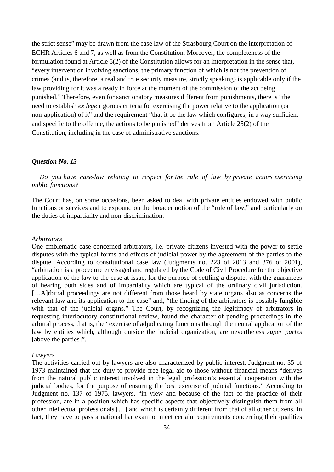the strict sense" may be drawn from the case law of the Strasbourg Court on the interpretation of ECHR Articles 6 and 7, as well as from the Constitution. Moreover, the completeness of the formulation found at Article 5(2) of the Constitution allows for an interpretation in the sense that, "every intervention involving sanctions, the primary function of which is not the prevention of crimes (and is, therefore, a real and true security measure, strictly speaking) is applicable only if the law providing for it was already in force at the moment of the commission of the act being punished." Therefore, even for sanctionatory measures different from punishments, there is "the need to establish *ex lege* rigorous criteria for exercising the power relative to the application (or non-application) of it" and the requirement "that it be the law which configures, in a way sufficient and specific to the offence, the actions to be punished" derives from Article 25(2) of the Constitution, including in the case of administrative sanctions.

## *Question No. 13*

*Do you have case-law relating to respect for the rule of law by private actors exercising public functions?*

The Court has, on some occasions, been asked to deal with private entities endowed with public functions or services and to expound on the broader notion of the "rule of law," and particularly on the duties of impartiality and non-discrimination.

### *Arbitrators*

One emblematic case concerned arbitrators, i.e. private citizens invested with the power to settle disputes with the typical forms and effects of judicial power by the agreement of the parties to the dispute. According to constitutional case law (Judgments no. 223 of 2013 and 376 of 2001), "arbitration is a procedure envisaged and regulated by the Code of Civil Procedure for the objective application of the law to the case at issue, for the purpose of settling a dispute, with the guarantees of hearing both sides and of impartiality which are typical of the ordinary civil jurisdiction. […A]rbitral proceedings are not different from those heard by state organs also as concerns the relevant law and its application to the case" and, "the finding of the arbitrators is possibly fungible with that of the judicial organs." The Court, by recognizing the legitimacy of arbitrators in requesting interlocutory constitutional review, found the character of pending proceedings in the arbitral process, that is, the "exercise of adjudicating functions through the neutral application of the law by entities which, although outside the judicial organization, are nevertheless *super partes*  [above the parties]".

### *Lawyers*

The activities carried out by lawyers are also characterized by public interest. Judgment no. 35 of 1973 maintained that the duty to provide free legal aid to those without financial means "derives from the natural public interest involved in the legal profession's essential cooperation with the judicial bodies, for the purpose of ensuring the best exercise of judicial functions." According to Judgment no. 137 of 1975, lawyers, "in view and because of the fact of the practice of their profession, are in a position which has specific aspects that objectively distinguish them from all other intellectual professionals […] and which is certainly different from that of all other citizens. In fact, they have to pass a national bar exam or meet certain requirements concerning their qualities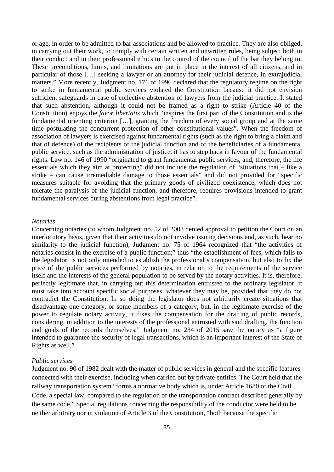or age, in order to be admitted to bar associations and be allowed to practice. They are also obliged, in carrying out their work, to comply with certain written and unwritten rules, being subject both in their conduct and in their professional ethics to the control of the council of the bar they belong to. These preconditions, limits, and limitations are put in place in the interest of all citizens, and in particular of those […] seeking a lawyer or an attorney for their judicial defence, in extrajudicial matters." More recently, Judgment no. 171 of 1996 declared that the regulatory regime on the right to strike in fundamental public services violated the Constitution because it did not envision sufficient safeguards in case of collective abstention of lawyers from the judicial practice. It stated that such abstention, although it could not be framed as a right to strike (Article 40 of the Constitution) enjoys the *favor libertatis* which "inspires the first part of the Constitution and is the fundamental orienting criterion […], granting the freedom of every social group and at the same time postulating the concurrent protection of other constitutional values". When the freedom of association of lawyers is exercised against fundamental rights (such as the right to bring a claim and that of defence) of the recipients of the judicial function and of the beneficiaries of a fundamental public service, such as the administration of justice, it has to step back in favour of the fundamental rights. Law no. 146 of 1990 "originated to grant fundamental public services, and, therefore, the life essentials which they aim at protecting" did not include the regulation of "situations that – like a strike – can cause irremediable damage to those essentials" and did not provided for "specific measures suitable for avoiding that the primary goods of civilized coexistence, which does not tolerate the paralysis of the judicial function, and therefore, requires provisions intended to grant fundamental services during abstentions from legal practice".

### *Notaries*

Concerning notaries (to whom Judgment no. 52 of 2003 denied approval to petition the Court on an interlocutory basis, given that their activities do not involve issuing decisions and, as such, bear no similarity to the judicial function), Judgment no. 75 of 1964 recognized that "the activities of notaries consist in the exercise of a public function;" thus "the establishment of fees, which falls to the legislator, is not only intended to establish the professional's compensation, but also to fix the price of the public services performed by notaries, in relation to the requirements of the service itself and the interests of the general population to be served by the notary activities. It is, therefore, perfectly legitimate that, in carrying out this determination entrusted to the ordinary legislator, it must take into account specific social purposes, whatever they may be, provided that they do not contradict the Constitution. In so doing the legislator does not arbitrarily create situations that disadvantage one category, or some members of a category, but, in the legitimate exercise of the power to regulate notary activity, it fixes the compensation for the drafting of public records, considering, in addition to the interests of the professional entrusted with said drafting, the function and goals of the records themselves." Judgment no. 234 of 2015 saw the notary as "a figure intended to guarantee the security of legal transactions, which is an important interest of the State of Rights as well."

### *Public services*

Judgment no. 90 of 1982 dealt with the matter of public services in general and the specific features connected with their exercise, including when carried out by private entities. The Court held that the railway transportation system "forms a normative body which is, under Article 1680 of the Civil Code, a special law, compared to the regulation of the transportation contract described generally by the same code." Special regulations concerning the responsibility of the conductor were held to be neither arbitrary nor in violation of Article 3 of the Constitution, "both because the specific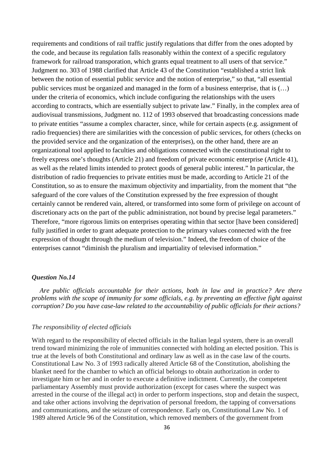requirements and conditions of rail traffic justify regulations that differ from the ones adopted by the code, and because its regulation falls reasonably within the context of a specific regulatory framework for railroad transporation, which grants equal treatment to all users of that service." Judgment no. 303 of 1988 clarified that Article 43 of the Constitution "established a strict link between the notion of essential public service and the notion of enterprise," so that, "all essential public services must be organized and managed in the form of a business enterprise, that is (…) under the criteria of economics, which include configuring the relationships with the users according to contracts, which are essentially subject to private law." Finally, in the complex area of audiovisual transmissions, Judgment no. 112 of 1993 observed that broadcasting concessions made to private entities "assume a complex character, since, while for certain aspects (e.g. assignment of radio frequencies) there are similarities with the concession of public services, for others (checks on the provided service and the organization of the enterprises), on the other hand, there are an organizational tool applied to faculties and obligations connected with the constitutional right to freely express one's thoughts (Article 21) and freedom of private economic enterprise (Article 41), as well as the related limits intended to protect goods of general public interest." In particular, the distribution of radio frequencies to private entities must be made, according to Article 21 of the Constitution, so as to ensure the maximum objectivity and impartiality, from the moment that "the safeguard of the core values of the Constitution expressed by the free expression of thought certainly cannot be rendered vain, altered, or transformed into some form of privilege on account of discretionary acts on the part of the public administration, not bound by precise legal parameters." Therefore, "more rigorous limits on enterprises operating within that sector [have been considered] fully justified in order to grant adequate protection to the primary values connected with the free expression of thought through the medium of television." Indeed, the freedom of choice of the enterprises cannot "diminish the pluralism and impartiality of televised information."

## *Question No.14*

*Are public officials accountable for their actions, both in law and in practice? Are there problems with the scope of immunity for some officials, e.g. by preventing an effective fight against corruption? Do you have case-law related to the accountability of public officials for their actions?*

## *The responsibility of elected officials*

With regard to the responsibility of elected officials in the Italian legal system, there is an overall trend toward minimizing the role of immunities connected with holding an elected position. This is true at the levels of both Constitutional and ordinary law as well as in the case law of the courts. Constitutional Law No. 3 of 1993 radically altered Article 68 of the Constitution, abolishing the blanket need for the chamber to which an official belongs to obtain authorization in order to investigate him or her and in order to execute a definitive indictment. Currently, the competent parliamentary Assembly must provide authorization (except for cases where the suspect was arrested in the course of the illegal act) in order to perform inspections, stop and detain the suspect, and take other actions involving the deprivation of personal freedom, the tapping of conversations and communications, and the seizure of correspondence. Early on, Constitutional Law No. 1 of 1989 altered Article 96 of the Constitution, which removed members of the government from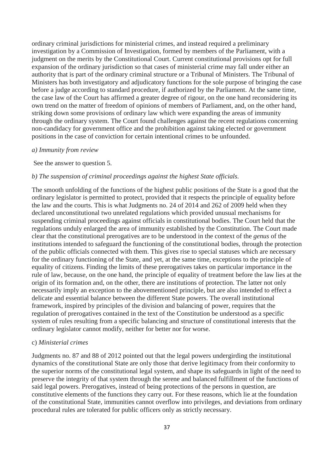ordinary criminal jurisdictions for ministerial crimes, and instead required a preliminary investigation by a Commission of Investigation, formed by members of the Parliament, with a judgment on the merits by the Constitutional Court. Current constitutional provisions opt for full expansion of the ordinary jurisdiction so that cases of ministerial crime may fall under either an authority that is part of the ordinary criminal structure or a Tribunal of Ministers. The Tribunal of Ministers has both investigatory and adjudicatory functions for the sole purpose of bringing the case before a judge according to standard procedure, if authorized by the Parliament. At the same time, the case law of the Court has affirmed a greater degree of rigour, on the one hand reconsidering its own trend on the matter of freedom of opinions of members of Parliament, and, on the other hand, striking down some provisions of ordinary law which were expanding the areas of immunity through the ordinary system. The Court found challenges against the recent regulations concerning non-candidacy for government office and the prohibition against taking elected or government positions in the case of conviction for certain intentional crimes to be unfounded.

## *a) Immunity from review*

See the answer to question 5.

## *b) The suspension of criminal proceedings against the highest State officials.*

The smooth unfolding of the functions of the highest public positions of the State is a good that the ordinary legislator is permitted to protect, provided that it respects the principle of equality before the law and the courts. This is what Judgments no. 24 of 2014 and 262 of 2009 held when they declared unconstitutional two unrelated regulations which provided unusual mechanisms for suspending criminal proceedings against officials in constitutional bodies. The Court held that the regulations unduly enlarged the area of immunity established by the Constitution. The Court made clear that the constitutional prerogatives are to be understood in the context of the *genus* of the institutions intended to safeguard the functioning of the constitutional bodies, through the protection of the public officials connected with them. This gives rise to special statuses which are necessary for the ordinary functioning of the State, and yet, at the same time, exceptions to the principle of equality of citizens. Finding the limits of these prerogatives takes on particular importance in the rule of law, because, on the one hand, the principle of equality of treatment before the law lies at the origin of its formation and, on the other, there are institutions of protection. The latter not only necessarily imply an exception to the abovementioned principle, but are also intended to effect a delicate and essential balance between the different State powers. The overall institutional framework, inspired by principles of the division and balancing of power, requires that the regulation of prerogatives contained in the text of the Constitution be understood as a specific system of rules resulting from a specific balancing and structure of constitutional interests that the ordinary legislator cannot modify, neither for better nor for worse.

### c) *Ministerial crimes*

Judgments no. 87 and 88 of 2012 pointed out that the legal powers undergirding the institutional dynamics of the constitutional State are only those that derive legitimacy from their conformity to the superior norms of the constitutional legal system, and shape its safeguards in light of the need to preserve the integrity of that system through the serene and balanced fulfillment of the functions of said legal powers. Prerogatives, instead of being protections of the persons in question, are constitutive elements of the functions they carry out. For these reasons, which lie at the foundation of the constitutional State, immunities cannot overflow into privileges, and deviations from ordinary procedural rules are tolerated for public officers only as strictly necessary.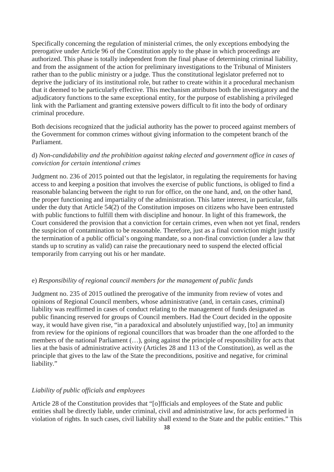Specifically concerning the regulation of ministerial crimes, the only exceptions embodying the prerogative under Article 96 of the Constitution apply to the phase in which proceedings are authorized. This phase is totally independent from the final phase of determining criminal liability, and from the assignment of the action for preliminary investigations to the Tribunal of Ministers rather than to the public ministry or a judge. Thus the constitutional legislator preferred not to deprive the judiciary of its institutional role, but rather to create within it a procedural mechanism that it deemed to be particularly effective. This mechanism attributes both the investigatory and the adjudicatory functions to the same exceptional entity, for the purpose of establishing a privileged link with the Parliament and granting extensive powers difficult to fit into the body of ordinary criminal procedure.

Both decisions recognized that the judicial authority has the power to proceed against members of the Government for common crimes without giving information to the competent branch of the Parliament.

# d) *Non-candidability and the prohibition against taking elected and government office in cases of conviction for certain intentional crimes*

Judgment no. 236 of 2015 pointed out that the legislator, in regulating the requirements for having access to and keeping a position that involves the exercise of public functions, is obliged to find a reasonable balancing between the right to run for office, on the one hand, and, on the other hand, the proper functioning and impartiality of the administration. This latter interest, in particular, falls under the duty that Article 54(2) of the Constitution imposes on citizens who have been entrusted with public functions to fulfill them with discipline and honour. In light of this framework, the Court considered the provision that a conviction for certain crimes, even when not yet final, renders the suspicion of contamination to be reasonable. Therefore, just as a final conviction might justify the termination of a public official's ongoing mandate, so a non-final conviction (under a law that stands up to scrutiny as valid) can raise the precautionary need to suspend the elected official temporarily from carrying out his or her mandate.

# e) *Responsibility of regional council members for the management of public funds*

Judgment no. 235 of 2015 outlined the prerogative of the immunity from review of votes and opinions of Regional Council members, whose administrative (and, in certain cases, criminal) liability was reaffirmed in cases of conduct relating to the management of funds designated as public financing reserved for groups of Council members. Had the Court decided in the opposite way, it would have given rise, "in a paradoxical and absolutely unjustified way, [to] an immunity from review for the opinions of regional councillors that was broader than the one afforded to the members of the national Parliament (…), going against the principle of responsibility for acts that lies at the basis of administrative activity (Articles 28 and 113 of the Constitution), as well as the principle that gives to the law of the State the preconditions, positive and negative, for criminal liability."

# *Liability of public officials and employees*

Article 28 of the Constitution provides that "[o]fficials and employees of the State and public entities shall be directly liable, under criminal, civil and administrative law, for acts performed in violation of rights. In such cases, civil liability shall extend to the State and the public entities." This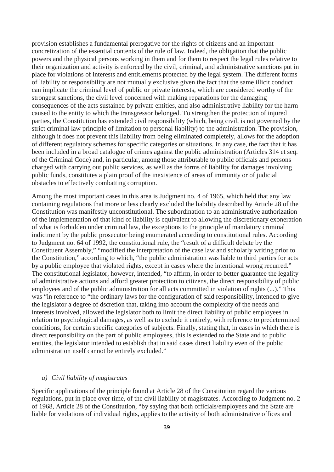provision establishes a fundamental prerogative for the rights of citizens and an important concretization of the essential contents of the rule of law. Indeed, the obligation that the public powers and the physical persons working in them and for them to respect the legal rules relative to their organization and activity is enforced by the civil, criminal, and administrative sanctions put in place for violations of interests and entitlements protected by the legal system. The different forms of liability or responsibility are not mutually exclusive given the fact that the same illicit conduct can implicate the criminal level of public or private interests, which are considered worthy of the strongest sanctions, the civil level concerned with making reparations for the damaging consequences of the acts sustained by private entities, and also administrative liability for the harm caused to the entity to which the transgressor belonged. To strengthen the protection of injured parties, the Constitution has extended civil responsibility (which, being civil, is not governed by the strict criminal law principle of limitation to personal liability) to the administration. The provision, although it does not prevent this liability from being eliminated completely, allows for the adoption of different regulatory schemes for specific categories or situations. In any case, the fact that it has been included in a broad catalogue of crimes against the public administration (Articles 314 et seq. of the Criminal Code) and, in particular, among those attributable to public officials and persons charged with carrying out public services, as well as the forms of liability for damages involving public funds, constitutes a plain proof of the inexistence of areas of immunity or of judicial obstacles to effectively combatting corruption.

Among the most important cases in this area is Judgment no. 4 of 1965, which held that any law containing regulations that more or less clearly excluded the liability described by Article 28 of the Constitution was manifestly unconstitutional. The subordination to an administrative authorization of the implementation of that kind of liability is equivalent to allowing the discretionary exoneration of what is forbidden under criminal law, the exceptions to the principle of mandatory criminal indictment by the public prosecutor being enumerated according to constitutional rules. According to Judgment no. 64 of 1992, the constitutional rule, the "result of a difficult debate by the Constituent Assembly," "modified the interpretation of the case law and scholarly writing prior to the Constitution," according to which, "the public administration was liable to third parties for acts by a public employee that violated rights, except in cases where the intentional wrong recurred." The constitutional legislator, however, intended, "to affirm, in order to better guarantee the legality of administrative actions and afford greater protection to citizens, the direct responsibility of public employees and of the public administration for all acts committed in violation of rights (...)." This was "in reference to "the ordinary laws for the configuration of said responsibility, intended to give the legislator a degree of dscretion that, taking into account the complexity of the needs and interests involved, allowed the legislator both to limit the direct liability of public employees in relation to psychological damages, as well as to exclude it entirely, with reference to predetermined conditions, for certain specific categories of subjects. Finally, stating that, in cases in which there is direct responsibility on the part of public employees, this is extended to the State and to public entities, the legislator intended to establish that in said cases direct liability even of the public administration itself cannot be entirely excluded."

## *a) Civil liability of magistrates*

Specific applications of the principle found at Article 28 of the Constitution regard the various regulations, put in place over time, of the civil liability of magistrates. According to Judgment no. 2 of 1968, Article 28 of the Constitution, "by saying that both officials/employees and the State are liable for violations of individual rights, applies to the activity of both administrative offices and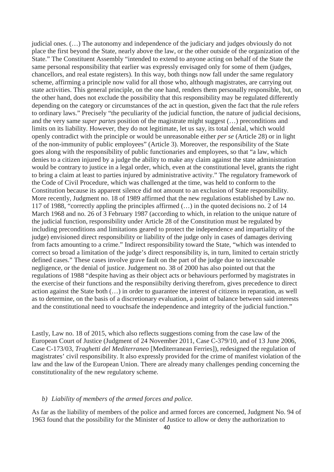judicial ones. (…) The autonomy and independence of the judiciary and judges obviously do not place the first beyond the State, nearly above the law, or the other outside of the organization of the State." The Constituent Assembly "intended to extend to anyone acting on behalf of the State the same personal responsibility that earlier was expressly envisaged only for some of them (judges, chancellors, and real estate registers). In this way, both things now fall under the same regulatory scheme, affirming a principle now valid for all those who, although magistrates, are carrying out state activities. This general principle, on the one hand, renders them personally responsible, but, on the other hand, does not exclude the possibility that this responsibility may be regulated differently depending on the category or circumstances of the act in question, given the fact that the rule refers to ordinary laws." Precisely "the peculiarity of the judicial function, the nature of judicial decisions, and the very same *super partes* position of the magistrate might suggest (…) preconditions and limits on its liability. However, they do not legitimate, let us say, its total denial, which would openly contradict with the principle or would be unreasonable either *per se* (Article 28) or in light of the non-immunity of public employees" (Article 3). Moreover, the responsibility of the State goes along with the responsibility of public functionaries and employees, so that "a law, which denies to a citizen injured by a judge the ability to make any claim against the state administration would be contrary to justice in a legal order, which, even at the constitutional level, grants the right to bring a claim at least to parties injured by administrative activity." The regulatory framework of the Code of Civil Procedure, which was challenged at the time, was held to conform to the Constitution because its apparent silence did not amount to an exclusion of State responsibility. More recently, Judgment no. 18 of 1989 affirmed that the new regulations established by Law no. 117 of 1988, "correctly appling the principles affirmed (…) in the quoted decisions no. 2 of 14 March 1968 and no. 26 of 3 February 1987 (according to which, in relation to the unique nature of the judicial function, responsibility under Article 28 of the Constitution must be regulated by including preconditions and limitations geared to protect the independence and impartiality of the judge) envisioned direct responsibility or liability of the judge only in cases of damages deriving from facts amounting to a crime." Indirect responsibility toward the State, "which was intended to correct so broad a limitation of the judge's direct responsibility is, in turn, limited to certain strictly defined cases." These cases involve grave fault on the part of the judge due to inexcusable negligence, or the denial of justice. Judgement no. 38 of 2000 has also pointed out that the regulations of 1988 "despite having as their object acts or behaviours performed by magistrates in the exercise of their functions and the responsiibilty deriving therefrom, gives precedence to direct action against the State both (…) in order to guarantee the interest of citizens in reparation, as well as to determine, on the basis of a discretionary evaluation, a point of balance between said interests and the constitutional need to vouchsafe the independence and integrity of the judicial function."

Lastly, Law no. 18 of 2015, which also reflects suggestions coming from the case law of the European Court of Justice (Judgment of 24 November 2011, Case C-379/10, and of 13 June 2006, Case C-173/03, *Traghetti del Mediterraneo* [Mediterranean Ferries]), redesigned the regulation of magistrates' civil responsibility. It also expressly provided for the crime of manifest violation of the law and the law of the European Union. There are already many challenges pending concerning the constitutionality of the new regulatory scheme.

# *b) Liability of members of the armed forces and police.*

As far as the liability of members of the police and armed forces are concerned, Judgment No. 94 of 1963 found that the possibility for the Minister of Justice to allow or deny the authorization to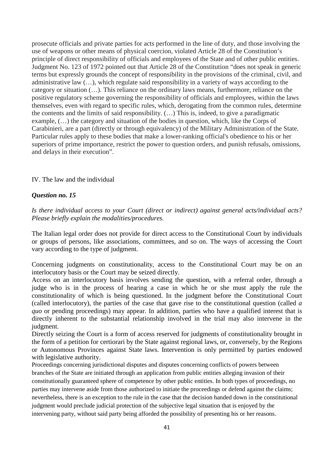prosecute officials and private parties for acts performed in the line of duty, and those involving the use of weapons or other means of physical coercion, violated Article 28 of the Constitution's principle of direct responsibility of officials and employees of the State and of other public entities. Judgment No. 123 of 1972 pointed out that Article 28 of the Constitution "does not speak in generic terms but expressly grounds the concept of responsibility in the provisions of the criminal, civil, and administrative law (…), which regulate said responsibility in a variety of ways according to the category or situation (…). This reliance on the ordinary laws means, furthermore, reliance on the positive regulatory scheme governing the responsibility of officials and employees, within the laws themselves, even with regard to specific rules, which, derogating from the common rules, determine the contents and the limits of said responsibility. (…) This is, indeed, to give a paradigmatic example, (…) the category and situation of the bodies in question, which, like the Corps of Carabinieri, are a part (directly or through equivalency) of the Military Administration of the State. Particular rules apply to these bodies that make a lower-ranking official's obedience to his or her superiors of prime importance, restrict the power to question orders, and punish refusals, omissions, and delays in their execution".

IV. The law and the individual

# *Question no. 15*

*Is there individual access to your Court (direct or indirect) against general acts/individual acts? Please briefly explain the modalities/procedures.*

The Italian legal order does not provide for direct access to the Constitutional Court by individuals or groups of persons, like associations, committees, and so on. The ways of accessing the Court vary according to the type of judgment.

Concerning judgments on constitutionality, access to the Constitutional Court may be on an interlocutory basis or the Court may be seized directly.

Access on an interlocutory basis involves sending the question, with a referral order, through a judge who is in the process of hearing a case in which he or she must apply the rule the constitutionality of which is being questioned. In the judgment before the Constitutional Court (called interlocutory), the parties of the case that gave rise to the constitutional question (called *a quo* or pending proceedings) may appear. In addition, parties who have a qualified interest that is directly inherent to the substantial relationship involved in the trial may also intervene in the judgment.

Directly seizing the Court is a form of access reserved for judgments of constitutionality brought in the form of a petition for certiorari by the State against regional laws, or, conversely, by the Regions or Autonomous Provinces against State laws. Intervention is only permitted by parties endowed with legislative authority.

Proceedings concerning jurisdictional disputes and disputes concerning conflicts of powers between branches of the State are initiated through an application from public entities alleging invasion of their constitutionally guaranteed sphere of competence by other public entities. In both types of proceedings, no parties may intervene aside from those authorized to initiate the proceedings or defend against the claims; nevertheless, there is an exception to the rule in the case that the decision handed down in the constitutional judgment would preclude judicial protection of the subjective legal situation that is enjoyed by the intervening party, without said party being afforded the possibility of presenting his or her reasons.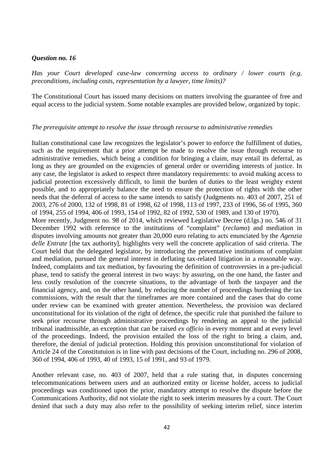# *Question no. 16*

*Has your Court developed case-law concerning access to ordinary / lower courts (e.g. preconditions, including costs, representation by a lawyer, time limits)?*

The Constitutional Court has issued many decisions on matters involving the guarantee of free and equal access to the judicial system. Some notable examples are provided below, organized by topic.

## *The prerequisite attempt to resolve the issue through recourse to administrative remedies*

Italian constitutional case law recognizes the legislator's power to enforce the fulfillment of duties, such as the requirement that a prior attempt be made to resolve the issue through recourse to administrative remedies, which being a condition for bringing a claim, may entail its deferral, as long as they are grounded on the exigencies of general order or overriding interests of justice. In any case, the legislator is asked to respect three mandatory requirements: to avoid making access to judicial protection excessively difficult, to limit the burden of duties to the least weighty extent possible, and to appropriately balance the need to ensure the protection of rights with the other needs that the deferral of access to the same intends to satisfy (Judgments no. 403 of 2007, 251 of 2003, 276 of 2000, 132 of 1998, 81 of 1998, 62 of 1998, 113 of 1997, 233 of 1996, 56 of 1995, 360 of 1994, 255 of 1994, 406 of 1993, 154 of 1992, 82 of 1992, 530 of 1989, and 130 of 1970). More recently, Judgment no. 98 of 2014, which reviewed Legislative Decree (d.lgs.) no. 546 of 31 December 1992 with reference to the institutions of "complaint" (*reclamo*) and mediation in disputes involving amounts not greater than 20,000 euro relating to acts enunciated by the *Agenzia delle Entrate* [the tax authority], highlights very well the concrete application of said criteria. The Court held that the delegated legislator, by introducing the preventative institutions of complaint and mediation, pursued the general interest in deflating tax-related litigation in a reasonable way. Indeed, complaints and tax mediation, by favouring the definition of controversies in a pre-judicial phase, tend to satisfy the general interest in two ways: by assuring, on the one hand, the faster and less costly resolution of the concrete situations, to the advantage of both the taxpayer and the financial agency, and, on the other hand, by reducing the number of proceedings burdening the tax commissions, with the result that the timeframes are more contained and the cases that do come under review can be examined with greater attention. Nevertheless, the provision was declared unconstitutional for its violation of the right of defence, the specific rule that punished the failure to seek prior recourse through administrative proceedings by rendering an appeal to the judicial tribunal inadmissible, an exception that can be raised *ex officio* in every moment and at every level of the proceedings. Indeed, the provision entailed the loss of the right to bring a claim, and, therefore, the denial of judicial protection. Holding this provision unconstitutional for violation of Article 24 of the Constitutuion is in line with past decisions of the Court, including no. 296 of 2008, 360 of 1994, 406 of 1993, 40 of 1993, 15 of 1991, and 93 of 1979.

Another relevant case, no. 403 of 2007, held that a rule stating that, in disputes concerning telecommunications between users and an authorized entity or license holder, access to judicial proceedings was conditioned upon the prior, mandatory attempt to resolve the dispute before the Communications Authority, did not violate the right to seek interim measures by a court. The Court denied that such a duty may also refer to the possibility of seeking interim relief, since interim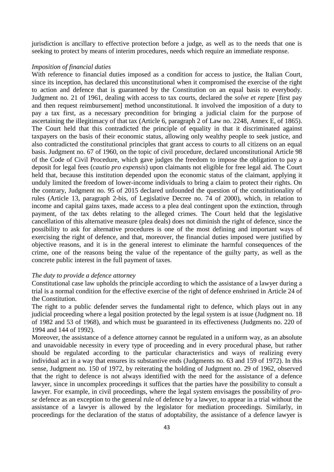jurisdiction is ancillary to effective protection before a judge, as well as to the needs that one is seeking to protect by means of interim procedures, needs which require an immediate response.

## *Imposition of financial duties*

With reference to financial duties imposed as a condition for access to justice, the Italian Court, since its inception, has declared this unconstitutional when it compromised the exercise of the right to action and defence that is guaranteed by the Constitution on an equal basis to everybody. Judgment no. 21 of 1961, dealing with access to tax courts, declared the *solve et repete* [first pay and then request reimbursement] method unconstitutional. It involved the imposition of a duty to pay a tax first, as a necessary precondition for bringing a judicial claim for the purpose of ascertaining the illegitimacy of that tax (Article 6, paragraph 2 of Law no. 2248, Annex E, of 1865). The Court held that this contradicted the principle of equality in that it discriminated against taxpayers on the basis of their economic status, allowing only wealthy people to seek justice, and also contradicted the constitutional principles that grant access to courts to all citizens on an equal basis. Judgment no. 67 of 1960, on the topic of civil procedure, declared unconstitutional Article 98 of the Code of Civil Procedure, which gave judges the freedom to impose the obligation to pay a deposit for legal fees (*cautio pro expensis*) upon claimants not eligible for free legal aid. The Court held that, because this institution depended upon the economic status of the claimant, applying it unduly limited the freedom of lower-income individuals to bring a claim to protect their rights. On the contrary, Judgment no. 95 of 2015 declared unfounded the question of the constitutionality of rules (Article 13, paragraph 2-bis, of Legislative Decree no. 74 of 2000), which, in relation to income and capital gains taxes, made access to a plea deal contingent upon the extinction, through payment, of the tax debts relating to the alleged crimes. The Court held that the legislative cancellation of this alternative measure (plea deals) does not diminish the right of defence, since the possibility to ask for alternative procedures is one of the most defining and important ways of exercising the right of defence, and that, moreover, the financial duties imposed were justified by objective reasons, and it is in the general interest to eliminate the harmful consequences of the crime, one of the reasons being the value of the repentance of the guilty party, as well as the concrete public interest in the full payment of taxes.

### *The duty to provide a defence attorney*

Constitutional case law upholds the principle according to which the assistance of a lawyer during a trial is a normal condition for the effective exercise of the right of defence enshrined in Article 24 of the Constitution.

The right to a public defender serves the fundamental right to defence, which plays out in any judicial proceeding where a legal position protected by the legal system is at issue (Judgment no. 18 of 1982 and 53 of 1968), and which must be guaranteed in its effectiveness (Judgments no. 220 of 1994 and 144 of 1992).

Moreover, the assistance of a defence attorney cannot be regulated in a uniform way, as an absolute and unavoidable necessity in every type of proceeding and in every procedural phase, but rather should be regulated according to the particular characteristics and ways of realizing every individual act in a way that ensures its substantive ends (Judgments no. 63 and 159 of 1972). In this sense, Judgment no. 150 of 1972, by reiterating the holding of Judgment no. 29 of 1962, observed that the right to defence is not always identified with the need for the assistance of a defence lawyer, since in uncomplex proceedings it suffices that the parties have the possibility to consult a lawyer. For example, in civil proceedings, where the legal system envisages the possibility of *prose* defence as an exception to the general rule of defence by a lawyer, to appear in a trial without the assistance of a lawyer is allowed by the legislator for mediation proceedings. Similarly, in proceedings for the declaration of the status of adoptability, the assistance of a defence lawyer is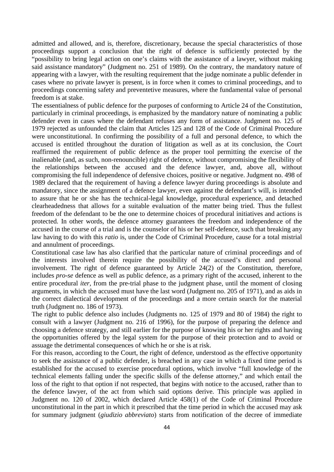admitted and allowed, and is, therefore, discretionary, because the special characteristics of those proceedings support a conclusion that the right of defence is sufficiently protected by the "possibility to bring legal action on one's claims with the assistance of a lawyer, without making said assistance mandatory" (Judgment no. 251 of 1989). On the contrary, the mandatory nature of appearing with a lawyer, with the resulting requirement that the judge nominate a public defender in cases where no private lawyer is present, is in force when it comes to criminal proceedings, and to proceedings concerning safety and preventetive measures, where the fundamental value of personal freedom is at stake.

The essentialness of public defence for the purposes of conforming to Article 24 of the Constitution, particularly in criminal proceedings, is emphasized by the mandatory nature of nominating a public defender even in cases where the defendant refuses any form of assistance. Judgment no. 125 of 1979 rejected as unfounded the claim that Articles 125 and 128 of the Code of Criminal Procedure were unconstitutional. In confirming the possibility of a full and personal defence, to which the accused is entitled throughout the duration of litigation as well as at its conclusion, the Court reaffirmed the requirement of public defence as the proper tool permitting the exercise of the inalienable (and, as such, non-renouncible) right of defence, without compromising the flexibility of the relationships between the accused and the defence lawyer, and, above all, without compromising the full independence of defensive choices, positive or negative. Judgment no. 498 of 1989 declared that the requirement of having a defence lawyer during proceedings is absolute and mandatory, since the assignment of a defence lawyer, even against the defendant's will, is intended to assure that he or she has the technical-legal knowledge, procedural experience, and detached clearheadedness that allows for a suitable evaluation of the matter being tried. Thus the fullest freedom of the defendant to be the one to determine choices of procedural initiatives and actions is protected. In other words, the defence attorney guarantees the freedom and independence of the accused in the course of a trial and is the counselor of his or her self-defence, such that breaking any law having to do with this *ratio* is, under the Code of Criminal Procedure, cause for a total mistrial and annulment of proceedings.

Constitutional case law has also clarified that the particular nature of criminal proceedings and of the interests involved therein require the possibility of the accused's direct and personal involvement. The right of defence guaranteed by Article 24(2) of the Constitution, therefore, includes *pro-se* defence as well as public defence, as a primary right of the accused, inherent to the entire procedural *iter*, from the pre-trial phase to the judgment phase, until the moment of closing arguments, in which the accused must have the last word (Judgment no. 205 of 1971), and as aids in the correct dialectical development of the proceedings and a more certain search for the material truth (Judgment no. 186 of 1973).

The right to public defence also includes (Judgments no. 125 of 1979 and 80 of 1984) the right to consult with a lawyer (Judgment no. 216 of 1996), for the purpose of preparing the defence and choosing a defence strategy, and still earlier for the purpose of knowing his or her rights and having the opportunities offered by the legal system for the purpose of their protection and to avoid or assuage the detrimental consequences of which he or she is at risk.

For this reason, according to the Court, the right of defence, understood as the effective opportunity to seek the assistance of a public defender, is breached in any case in which a fixed time period is established for the accused to exercise procedural options, which involve "full knowledge of the technical elements falling under the specific skills of the defense attorney," and which entail the loss of the right to that option if not respected, that begins with notice to the accused, rather than to the defence lawyer, of the act from which said options derive. This principle was applied in Judgment no. 120 of 2002, which declared Article 458(1) of the Code of Criminal Procedure unconstitutional in the part in which it prescribed that the time period in which the accused may ask for summary judgment (*giudizio abbreviato*) starts from notification of the decree of immediate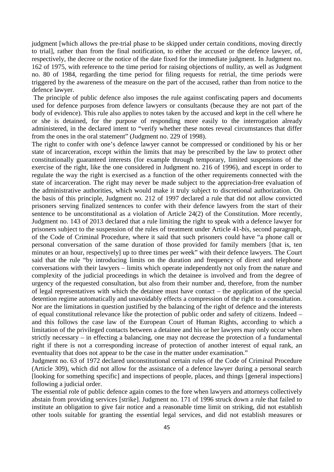judgment [which allows the pre-trial phase to be skipped under certain conditions, moving directly to trial], rather than from the final notification, to either the accused or the defence lawyer, of, respectively, the decree or the notice of the date fixed for the immediate judgment. In Judgment no. 162 of 1975, with reference to the time period for raising objections of nullity, as well as Judgment no. 80 of 1984, regarding the time period for filing requests for retrial, the time periods were triggered by the awareness of the measure on the part of the accused, rather than from notice to the defence lawyer.

The principle of public defence also imposes the rule against confiscating papers and documents used for defence purposes from defence lawyers or consultants (because they are not part of the body of evidence). This rule also applies to notes taken by the accused and kept in the cell where he or she is detained, for the purpose of responding more easily to the interrogation already administered, in the declared intent to "verify whether these notes reveal circumstances that differ from the ones in the oral statement" (Judgment no. 229 of 1998).

The right to confer with one's defence lawyer cannot be compressed or conditioned by his or her state of incarceration, except within the limits that may be prescribed by the law to protect other constitutionally guaranteed interests (for example through temporary, limited suspensions of the exercise of the right, like the one considered in Judgment no. 216 of 1996), and except in order to regulate the way the right is exercised as a function of the other requirements connected with the state of incarceration. The right may never be made subject to the appreciation-free evaluation of the administrative authorities, which would make it truly subject to discretional authorization. On the basis of this principle, Judgment no. 212 of 1997 declared a rule that did not allow convicted prisoners serving finalized sentences to confer with their defence lawyers from the start of their sentence to be unconstitutional as a violation of Article 24(2) of the Constitution. More recently, Judgment no. 143 of 2013 declared that a rule limiting the right to speak with a defence lawyer for prisoners subject to the suspension of the rules of treatment under Article 41-*bis*, second paragraph, of the Code of Criminal Procedure, where it said that such prisoners could have "a phone call or personal conversation of the same duration of those provided for family members [that is, ten minutes or an hour, respectively] up to three times per week" with their defence lawyers. The Court said that the rule "by introducing limits on the duration and frequency of direct and telephone conversations with their lawyers – limits which operate independently not only from the nature and complexity of the judicial proceedings in which the detainee is involved and from the degree of urgency of the requested consultation, but also from their number and, therefore, from the number of legal representatives with which the detainee must have contact – the application of the special detention regime automatically and unavoidably effects a compression of the right to a consultation. Nor are the limitations in question justified by the balancing of the right of defence and the interests of equal constitutional relevance like the protection of public order and safety of citizens. Indeed – and this follows the case law of the European Court of Human Rights, according to which a limitation of the privileged contacts between a detainee and his or her lawyers may only occur when strictly necessary – in effecting a balancing, one may not decrease the protection of a fundamental right if there is not a corresponding increase of protection of another interest of equal rank, an eventuality that does not appear to be the case in the matter under examination."

Judgment no. 63 of 1972 declared unconstitutional certain rules of the Code of Criminal Procedure (Article 309), which did not allow for the assistance of a defence lawyer during a personal search [looking for something specific] and inspections of people, places, and things [general inspections] following a judicial order.

The essential role of public defence again comes to the fore when lawyers and attorneys collectively abstain from providing services [strike]. Judgment no. 171 of 1996 struck down a rule that failed to institute an obligation to give fair notice and a reasonable time limit on striking, did not establish other tools suitable for granting the essential legal services, and did not establish measures or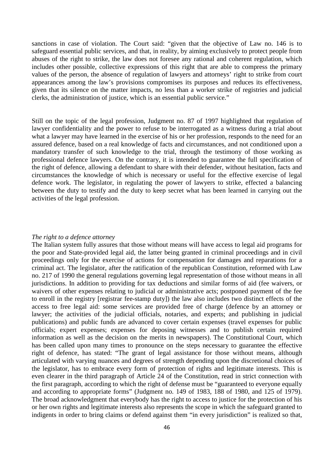sanctions in case of violation. The Court said: "given that the objective of Law no. 146 is to safeguard essential public services, and that, in reality, by aiming exclusively to protect people from abuses of the right to strike, the law does not foresee any rational and coherent regulation, which includes other possible, collective expressions of this right that are able to compress the primary values of the person, the absence of regulation of lawyers and attorneys' right to strike from court appearances among the law's provisions compromises its purposes and reduces its effectiveness, given that its silence on the matter impacts, no less than a worker strike of registries and judicial clerks, the administration of justice, which is an essential public service."

Still on the topic of the legal profession, Judgment no. 87 of 1997 highlighted that regulation of lawyer confidentiality and the power to refuse to be interrogated as a witness during a trial about what a lawyer may have learned in the exercise of his or her profession, responds to the need for an assured defence, based on a real knowledge of facts and circumstances, and not conditioned upon a mandatory transfer of such knowledge to the trial, through the testimony of those working as professional defence lawyers. On the contrary, it is intended to guarantee the full specification of the right of defence, allowing a defendant to share with their defender, without hesitation, facts and circumstances the knowledge of which is necessary or useful for the effective exercise of legal defence work. The legislator, in regulating the power of lawyers to strike, effected a balancing between the duty to testify and the duty to keep secret what has been learned in carrying out the activities of the legal profession.

## *The right to a defence attorney*

The Italian system fully assures that those without means will have access to legal aid programs for the poor and State-provided legal aid, the latter being granted in criminal proceedings and in civil proceedings only for the exercise of actions for compensation for damages and reparations for a criminal act. The legislator, after the ratification of the republican Constitution, reformed with Law no. 217 of 1990 the general regulations governing legal representation of those without means in all jurisdictions. In addition to providing for tax deductions and similar forms of aid (fee waivers, or waivers of other expenses relating to judicial or administrative acts; postponed payment of the fee to enroll in the registry [registrar fee-stamp duty]) the law also includes two distinct effects of the access to free legal aid: some services are provided free of charge (defence by an attorney or lawyer; the activities of the judicial officials, notaries, and experts; and publishing in judicial publications) and public funds are advanced to cover certain expenses (travel expenses for public officials; expert expenses; expenses for deposing witnesses and to publish certain required information as well as the decision on the merits in newspapers). The Constitutional Court, which has been called upon many times to pronounce on the steps necessary to guarantee the effective right of defence, has stated: "The grant of legal assistance for those without means, although articulated with varying nuances and degrees of strength depending upon the discretional choices of the legislator, has to embrace every form of protection of rights and legitimate interests. This is even clearer in the third paragraph of Article 24 of the Constitution, read in strict connection with the first paragraph, according to which the right of defense must be "guaranteed to everyone equally and according to appropriate forms" (Judgment no. 149 of 1983, 188 of 1980, and 125 of 1979). The broad acknowledgment that everybody has the right to access to justice for the protection of his or her own rights and legitimate interests also represents the scope in which the safeguard granted to indigents in order to bring claims or defend against them "in every jurisdiction" is realized so that,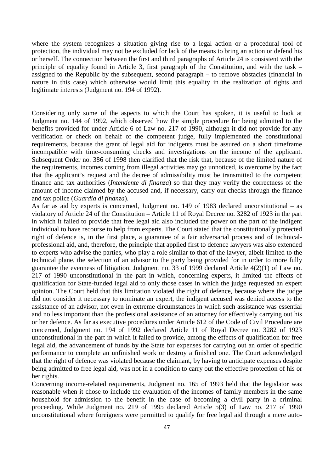where the system recognizes a situation giving rise to a legal action or a procedural tool of protection, the individual may not be excluded for lack of the means to bring an action or defend his or herself. The connection between the first and third paragraphs of Article 24 is consistent with the principle of equality found in Article 3, first paragraph of the Constitution, and with the task – assigned to the Republic by the subsequent, second paragraph – to remove obstacles (financial in nature in this case) which otherwise would limit this equality in the realization of rights and legitimate interests (Judgment no. 194 of 1992).

Considering only some of the aspects to which the Court has spoken, it is useful to look at Judgment no. 144 of 1992, which observed how the simple procedure for being admitted to the benefits provided for under Article 6 of Law no. 217 of 1990, although it did not provide for any verification or check on behalf of the competent judge, fully implemented the constitutional requirements, because the grant of legal aid for indigents must be assured on a short timeframe incompatible with time-consuming checks and investigations on the income of the applicant. Subsequent Order no. 386 of 1998 then clarified that the risk that, because of the limited nature of the requirements, incomes coming from illegal activities may go unnoticed, is overcome by the fact that the applicant's request and the decree of admissibility must be transmitted to the competent finance and tax authorities (*Intendente di finanza*) so that they may verify the correctness of the amount of income claimed by the accused and, if necessary, carry out checks through the finance and tax police (*Guardia di finanza*).

As far as aid by experts is concerned, Judgment no. 149 of 1983 declared unconstitutional – as violatory of Article 24 of the Constitution – Article 11 of Royal Decree no. 3282 of 1923 in the part in which it failed to provide that free legal aid also included the power on the part of the indigent individual to have recourse to help from experts. The Court stated that the constitutionally protected right of defence is, in the first place, a guarantee of a fair adversarial process and of technicalprofessional aid, and, therefore, the principle that applied first to defence lawyers was also extended to experts who advise the parties, who play a role similar to that of the lawyer, albeit limited to the technical plane, the selection of an advisor to the party being provided for in order to more fully guarantee the evenness of litigation. Judgment no. 33 of 1999 declared Article 4(2)(1) of Law no. 217 of 1990 unconstitutional in the part in which, concerning experts, it limited the effects of qualification for State-funded legal aid to only those cases in which the judge requested an expert opinion. The Court held that this limitation violated the right of defence, because where the judge did not consider it necessary to nominate an expert, the indigent accused was denied access to the assistance of an advisor, not even in extreme circumstances in which such assistance was essential and no less important than the professional assistance of an attorney for effectively carrying out his or her defence. As far as executive procedures under Article 612 of the Code of Civil Procedure are concerned, Judgment no. 194 of 1992 declared Article 11 of Royal Decree no. 3282 of 1923 unconstitutional in the part in which it failed to provide, among the effects of qualification for free legal aid, the advancement of funds by the State for expenses for carrying out an order of specific performance to complete an unfinished work or destroy a finished one. The Court acknowledged that the right of defence was violated because the claimant, by having to anticipate expenses despite being admitted to free legal aid, was not in a condition to carry out the effective protection of his or her rights.

Concerning income-related requirements, Judgment no. 165 of 1993 held that the legislator was reasonable when it chose to include the evaluation of the incomes of family members in the same household for admission to the benefit in the case of becoming a civil party in a criminal proceeding. While Judgment no. 219 of 1995 declared Article 5(3) of Law no. 217 of 1990 unconstitutional where foreigners were permitted to qualify for free legal aid through a mere auto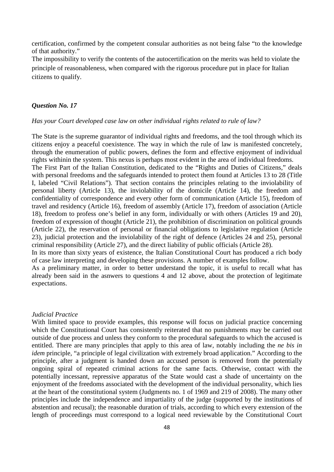certification, confirmed by the competent consular authorities as not being false "to the knowledge of that authority."

The impossibility to verify the contents of the autocertification on the merits was held to violate the principle of reasonableness, when compared with the rigorous procedure put in place for Italian citizens to qualify.

## *Question No. 17*

## *Has your Court developed case law on other individual rights related to rule of law?*

The State is the supreme guarantor of individual rights and freedoms, and the tool through which its citizens enjoy a peaceful coexistence. The way in which the rule of law is manifested concretely, through the enumeration of public powers, defines the form and effective enjoyment of individual rights withinin the system. This nexus is perhaps most evident in the area of individual freedoms.

The First Part of the Italian Constitution, dedicated to the "Rights and Duties of Citizens," deals with personal freedoms and the safeguards intended to protect them found at Articles 13 to 28 (Title I, labeled "Civil Relations"). That section contains the principles relating to the inviolability of personal liberty (Article 13), the inviolability of the domicile (Article 14), the freedom and confidentiality of correspondence and every other form of communication (Article 15), freedom of travel and residency (Article 16), freedom of assembly (Article 17), freedom of association (Article 18), freedom to profess one's belief in any form, individually or with others (Articles 19 and 20), freedom of expression of thought (Article 21), the prohibition of discrimination on political grounds (Article 22), the reservation of personal or financial obligations to legislative regulation (Article 23), judicial protection and the inviolability of the right of defence (Articles 24 and 25), personal criminal responsibility (Article 27), and the direct liability of public officials (Article 28).

In its more than sixty years of existence, the Italian Constitutional Court has produced a rich body of case law interpreting and developing these provisions. A number of examples follow.

As a preliminary matter, in order to better understand the topic, it is useful to recall what has already been said in the asnwers to questions 4 and 12 above, about the protection of legitimate expectations.

### *Judicial Practice*

With limited space to provide examples, this response will focus on judicial practice concerning which the Constitutional Court has consistently reiterated that no punishments may be carried out outside of due process and unless they conform to the procedural safeguards to which the accused is entitled. There are many principles that apply to this area of law, notably including the *ne bis in idem* principle, "a principle of legal civilization with extremely broad application." According to the principle, after a judgment is handed down an accused person is removed from the potentially ongoing spiral of repeated criminal actions for the same facts. Otherwise, contact with the potentially incessant, repressive apparatus of the State would cast a shade of uncertainty on the enjoyment of the freedoms associated with the development of the individual personality, which lies at the heart of the constitutional system (Judgments no. 1 of 1969 and 219 of 2008). The many other principles include the independence and impartiality of the judge (supported by the institutions of abstention and recusal); the reasonable duration of trials, according to which every extension of the length of proceedings must correspond to a logical need reviewable by the Constitutional Court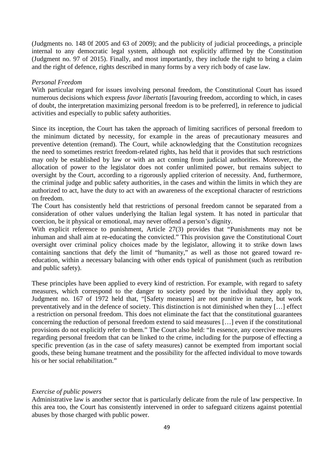(Judgments no. 148 0f 2005 and 63 of 2009); and the publicity of judicial proceedings, a principle internal to any democratic legal system, although not explicitly affirmed by the Constitution (Judgment no. 97 of 2015). Finally, and most importantly, they include the right to bring a claim and the right of defence, rights described in many forms by a very rich body of case law.

### *Personal Freedom*

With particular regard for issues involving personal freedom, the Constitutional Court has issued numerous decisions which express *favor libertatis* [favouring freedom, according to which, in cases of doubt, the interpretation maximizing personal freedom is to be preferred], in reference to judicial activities and especially to public safety authorities.

Since its inception, the Court has taken the approach of limiting sacrifices of personal freedom to the minimum dictated by necessity, for example in the areas of precautionary measures and preventive detention (remand). The Court, while acknowledging that the Constitution recognizes the need to sometimes restrict freedom-related rights, has held that it provides that such restrictions may only be established by law or with an act coming from judicial authorities. Moreover, the allocation of power to the legislator does not confer unlimited power, but remains subject to oversight by the Court, according to a rigorously applied criterion of necessity. And, furthermore, the criminal judge and public safety authorities, in the cases and within the limits in which they are authorized to act, have the duty to act with an awareness of the exceptional character of restrictions on freedom.

The Court has consistently held that restrictions of personal freedom cannot be separated from a consideration of other values underlying the Italian legal system. It has noted in particular that coercion, be it physical or emotional, may never offend a person's dignity.

With explicit reference to punishment, Article 27(3) provides that "Punishments may not be inhuman and shall aim at re-educating the convicted." This provision gave the Constitutional Court oversight over criminal policy choices made by the legislator, allowing it to strike down laws containing sanctions that defy the limit of "humanity," as well as those not geared toward reeducation, within a necessary balancing with other ends typical of punishment (such as retribution and public safety).

These principles have been applied to every kind of restriction. For example, with regard to safety measures, which correspond to the danger to society posed by the individual they apply to, Judgment no. 167 of 1972 held that, "[Safety measures] are not punitive in nature, but work preventatively and in the defence of society. This distinction is not diminished when they […] effect a restriction on personal freedom. This does not eliminate the fact that the constitutional guarantees concerning the reduction of personal freedom extend to said measures […] even if the constitutional provisions do not explicitly refer to them." The Court also held: "In essence, any coercive measures regarding personal freedom that can be linked to the crime, including for the purpose of effecting a specific prevention (as in the case of safety measures) cannot be exempted from important social goods, these being humane treatment and the possibility for the affected individual to move towards his or her social rehabilitation."

### *Exercise of public powers*

Administrative law is another sector that is particularly delicate from the rule of law perspective. In this area too, the Court has consistently intervened in order to safeguard citizens against potential abuses by those charged with public power.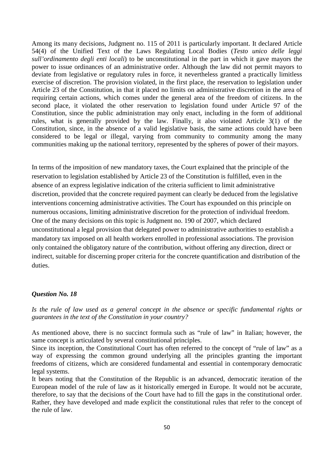Among its many decisions, Judgment no. 115 of 2011 is particularly important. It declared Article 54(4) of the Unified Text of the Laws Regulating Local Bodies (*Testo unico delle leggi sull'ordinamento degli enti locali*) to be unconstitutional in the part in which it gave mayors the power to issue ordinances of an administrative order. Although the law did not permit mayors to deviate from legislative or regulatory rules in force, it nevertheless granted a practically limitless exercise of discretion. The provision violated, in the first place, the reservation to legislation under Article 23 of the Constitution, in that it placed no limits on administrative discretion in the area of requiring certain actions, which comes under the general area of the freedom of citizens. In the second place, it violated the other reservation to legislation found under Article 97 of the Constitution, since the public administration may only enact, including in the form of additional rules, what is generally provided by the law. Finally, it also violated Article 3(1) of the Constitution, since, in the absence of a valid legislative basis, the same actions could have been considered to be legal or illegal, varying from community to community among the many communities making up the national territory, represented by the spheres of power of their mayors.

In terms of the imposition of new mandatory taxes, the Court explained that the principle of the reservation to legislation established by Article 23 of the Constitution is fulfilled, even in the absence of an express legislative indication of the criteria sufficient to limit administrative discretion, provided that the concrete required payment can clearly be deduced from the legislative interventions concerning administrative activities. The Court has expounded on this principle on numerous occasions, limiting administrative discretion for the protection of individual freedom. One of the many decisions on this topic is Judgment no. 190 of 2007, which declared unconstitutional a legal provision that delegated power to administrative authorities to establish a mandatory tax imposed on all health workers enrolled in professional associations. The provision only contained the obligatory nature of the contribution, without offering any direction, direct or indirect, suitable for discerning proper criteria for the concrete quantification and distribution of the duties.

## *Question No. 18*

*Is the rule of law used as a general concept in the absence or specific fundamental rights or guarantees in the text of the Constitution in your country?*

As mentioned above, there is no succinct formula such as "rule of law" in Italian; however, the same concept is articulated by several constitutional principles.

Since its inception, the Constitutional Court has often referred to the concept of "rule of law" as a way of expressing the common ground underlying all the principles granting the important freedoms of citizens, which are considered fundamental and essential in contemporary democratic legal systems.

It bears noting that the Constitution of the Republic is an advanced, democratic iteration of the European model of the rule of law as it historically emerged in Europe. It would not be accurate, therefore, to say that the decisions of the Court have had to fill the gaps in the constitutional order. Rather, they have developed and made explicit the constitutional rules that refer to the concept of the rule of law.